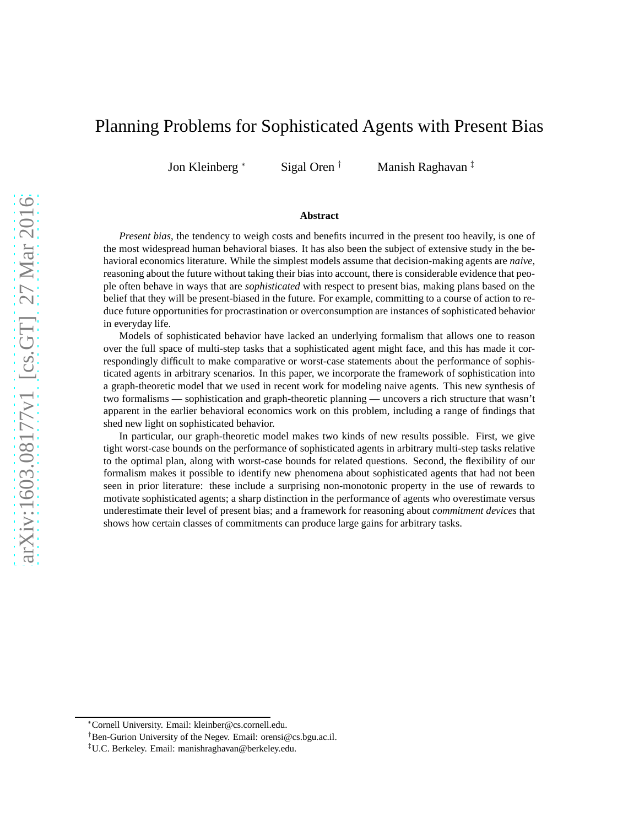# Planning Problems for Sophisticated Agents with Present Bias

Jon Kleinberg <sup>∗</sup> Sigal Oren † Manish Raghavan ‡

#### **Abstract**

*Present bias*, the tendency to weigh costs and benefits incurred in the present too heavily, is one of the most widespread human behavioral biases. It has also been the subject of extensive study in the behavioral economics literature. While the simplest models assume that decision-making agents are *naive*, reasoning about the future without taking their bias into account, there is considerable evidence that people often behave in ways that are *sophisticated* with respect to present bias, making plans based on the belief that they will be present-biased in the future. For example, committing to a course of action to reduce future opportunities for procrastination or overconsumption are instances of sophisticated behavior in everyday life.

Models of sophisticated behavior have lacked an underlying formalism that allows one to reason over the full space of multi-step tasks that a sophisticated agent might face, and this has made it correspondingly difficult to make comparative or worst-case statements about the performance of sophisticated agents in arbitrary scenarios. In this paper, we incorporate the framework of sophistication into a graph-theoretic model that we used in recent work for modeling naive agents. This new synthesis of two formalisms — sophistication and graph-theoretic planning — uncovers a rich structure that wasn't apparent in the earlier behavioral economics work on this problem, including a range of findings that shed new light on sophisticated behavior.

In particular, our graph-theoretic model makes two kinds of new results possible. First, we give tight worst-case bounds on the performance of sophisticated agents in arbitrary multi-step tasks relative to the optimal plan, along with worst-case bounds for related questions. Second, the flexibility of our formalism makes it possible to identify new phenomena about sophisticated agents that had not been seen in prior literature: these include a surprising non-monotonic property in the use of rewards to motivate sophisticated agents; a sharp distinction in the performance of agents who overestimate versus underestimate their level of present bias; and a framework for reasoning about *commitment devices* that shows how certain classes of commitments can produce large gains for arbitrary tasks.

<sup>∗</sup>Cornell University. Email: kleinber@cs.cornell.edu.

<sup>†</sup>Ben-Gurion University of the Negev. Email: orensi@cs.bgu.ac.il.

<sup>‡</sup>U.C. Berkeley. Email: manishraghavan@berkeley.edu.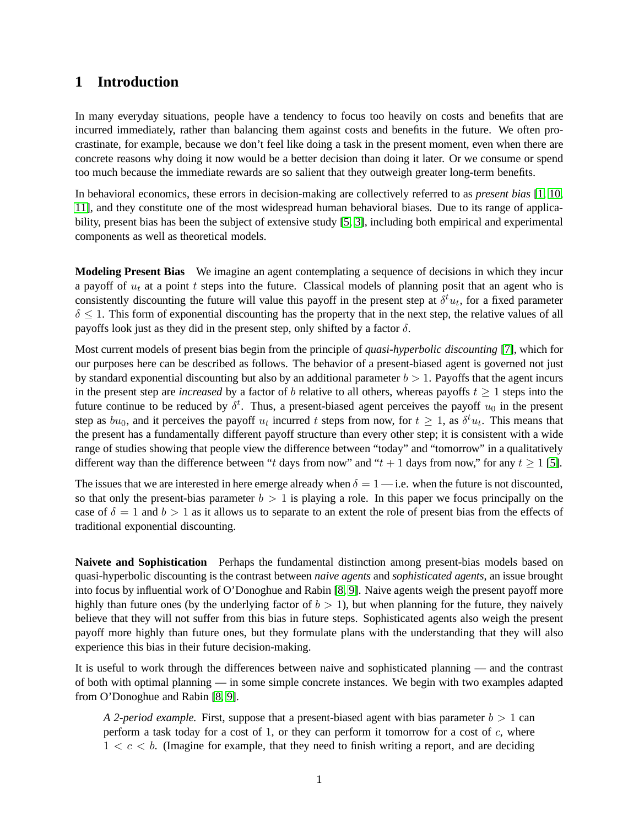# **1 Introduction**

In many everyday situations, people have a tendency to focus too heavily on costs and benefits that are incurred immediately, rather than balancing them against costs and benefits in the future. We often procrastinate, for example, because we don't feel like doing a task in the present moment, even when there are concrete reasons why doing it now would be a better decision than doing it later. Or we consume or spend too much because the immediate rewards are so salient that they outweigh greater long-term benefits.

In behavioral economics, these errors in decision-making are collectively referred to as *present bias* [\[1,](#page-18-0) [10,](#page-19-0) [11\]](#page-19-1), and they constitute one of the most widespread human behavioral biases. Due to its range of applicability, present bias has been the subject of extensive study [\[5,](#page-19-2) [3\]](#page-18-1), including both empirical and experimental components as well as theoretical models.

**Modeling Present Bias** We imagine an agent contemplating a sequence of decisions in which they incur a payoff of  $u_t$  at a point t steps into the future. Classical models of planning posit that an agent who is consistently discounting the future will value this payoff in the present step at  $\delta^t u_t$ , for a fixed parameter  $\delta \leq 1$ . This form of exponential discounting has the property that in the next step, the relative values of all payoffs look just as they did in the present step, only shifted by a factor  $\delta$ .

Most current models of present bias begin from the principle of *quasi-hyperbolic discounting* [\[7\]](#page-19-3), which for our purposes here can be described as follows. The behavior of a present-biased agent is governed not just by standard exponential discounting but also by an additional parameter  $b > 1$ . Payoffs that the agent incurs in the present step are *increased* by a factor of b relative to all others, whereas payoffs  $t \geq 1$  steps into the future continue to be reduced by  $\delta^t$ . Thus, a present-biased agent perceives the payoff  $u_0$  in the present step as  $bu_0$ , and it perceives the payoff  $u_t$  incurred t steps from now, for  $t \ge 1$ , as  $\delta^t u_t$ . This means that the present has a fundamentally different payoff structure than every other step; it is consistent with a wide range of studies showing that people view the difference between "today" and "tomorrow" in a qualitatively different way than the difference between "t days from now" and "t + 1 days from now," for any  $t \ge 1$  [\[5\]](#page-19-2).

The issues that we are interested in here emerge already when  $\delta = 1$  — i.e. when the future is not discounted, so that only the present-bias parameter  $b > 1$  is playing a role. In this paper we focus principally on the case of  $\delta = 1$  and  $b > 1$  as it allows us to separate to an extent the role of present bias from the effects of traditional exponential discounting.

**Naivete and Sophistication** Perhaps the fundamental distinction among present-bias models based on quasi-hyperbolic discounting is the contrast between *naive agents* and *sophisticated agents*, an issue brought into focus by influential work of O'Donoghue and Rabin [\[8,](#page-19-4) [9\]](#page-19-5). Naive agents weigh the present payoff more highly than future ones (by the underlying factor of  $b > 1$ ), but when planning for the future, they naively believe that they will not suffer from this bias in future steps. Sophisticated agents also weigh the present payoff more highly than future ones, but they formulate plans with the understanding that they will also experience this bias in their future decision-making.

It is useful to work through the differences between naive and sophisticated planning — and the contrast of both with optimal planning — in some simple concrete instances. We begin with two examples adapted from O'Donoghue and Rabin [\[8,](#page-19-4) [9\]](#page-19-5).

*A 2-period example.* First, suppose that a present-biased agent with bias parameter  $b > 1$  can perform a task today for a cost of 1, or they can perform it tomorrow for a cost of  $c$ , where  $1 < c < b$ . (Imagine for example, that they need to finish writing a report, and are deciding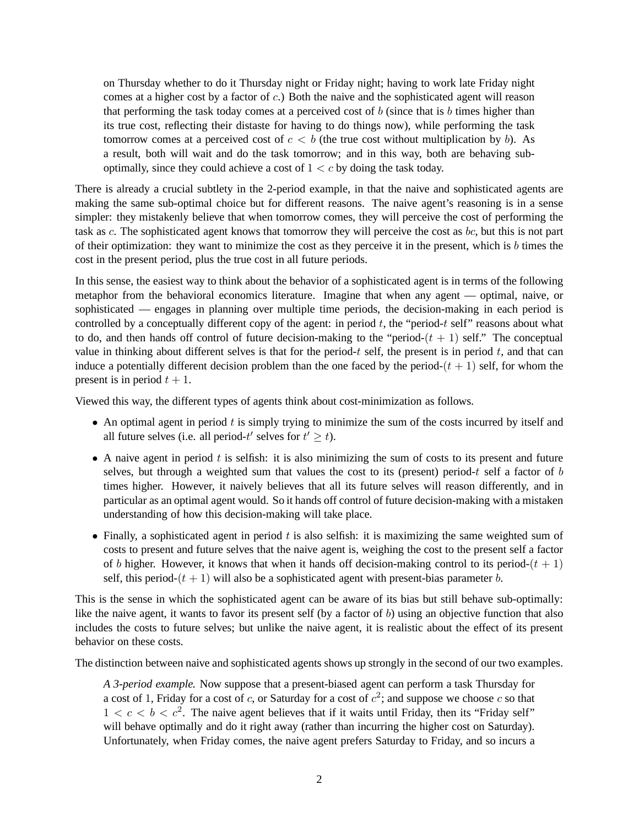on Thursday whether to do it Thursday night or Friday night; having to work late Friday night comes at a higher cost by a factor of c.) Both the naive and the sophisticated agent will reason that performing the task today comes at a perceived cost of  $b$  (since that is  $b$  times higher than its true cost, reflecting their distaste for having to do things now), while performing the task tomorrow comes at a perceived cost of  $c < b$  (the true cost without multiplication by b). As a result, both will wait and do the task tomorrow; and in this way, both are behaving suboptimally, since they could achieve a cost of  $1 < c$  by doing the task today.

There is already a crucial subtlety in the 2-period example, in that the naive and sophisticated agents are making the same sub-optimal choice but for different reasons. The naive agent's reasoning is in a sense simpler: they mistakenly believe that when tomorrow comes, they will perceive the cost of performing the task as c. The sophisticated agent knows that tomorrow they will perceive the cost as bc, but this is not part of their optimization: they want to minimize the cost as they perceive it in the present, which is  $b$  times the cost in the present period, plus the true cost in all future periods.

In this sense, the easiest way to think about the behavior of a sophisticated agent is in terms of the following metaphor from the behavioral economics literature. Imagine that when any agent — optimal, naive, or sophisticated — engages in planning over multiple time periods, the decision-making in each period is controlled by a conceptually different copy of the agent: in period  $t$ , the "period- $t$  self" reasons about what to do, and then hands off control of future decision-making to the "period- $(t + 1)$  self." The conceptual value in thinking about different selves is that for the period- $t$  self, the present is in period  $t$ , and that can induce a potentially different decision problem than the one faced by the period- $(t + 1)$  self, for whom the present is in period  $t + 1$ .

Viewed this way, the different types of agents think about cost-minimization as follows.

- An optimal agent in period  $t$  is simply trying to minimize the sum of the costs incurred by itself and all future selves (i.e. all period- $t'$  selves for  $t' \geq t$ ).
- $\bullet$  A naive agent in period t is selfish: it is also minimizing the sum of costs to its present and future selves, but through a weighted sum that values the cost to its (present) period- $t$  self a factor of  $b$ times higher. However, it naively believes that all its future selves will reason differently, and in particular as an optimal agent would. So it hands off control of future decision-making with a mistaken understanding of how this decision-making will take place.
- Finally, a sophisticated agent in period  $t$  is also selfish: it is maximizing the same weighted sum of costs to present and future selves that the naive agent is, weighing the cost to the present self a factor of b higher. However, it knows that when it hands off decision-making control to its period- $(t + 1)$ self, this period- $(t + 1)$  will also be a sophisticated agent with present-bias parameter b.

This is the sense in which the sophisticated agent can be aware of its bias but still behave sub-optimally: like the naive agent, it wants to favor its present self (by a factor of b) using an objective function that also includes the costs to future selves; but unlike the naive agent, it is realistic about the effect of its present behavior on these costs.

The distinction between naive and sophisticated agents shows up strongly in the second of our two examples.

*A 3-period example.* Now suppose that a present-biased agent can perform a task Thursday for a cost of 1, Friday for a cost of c, or Saturday for a cost of  $c^2$ ; and suppose we choose c so that  $1 < c < b < c<sup>2</sup>$ . The naive agent believes that if it waits until Friday, then its "Friday self" will behave optimally and do it right away (rather than incurring the higher cost on Saturday). Unfortunately, when Friday comes, the naive agent prefers Saturday to Friday, and so incurs a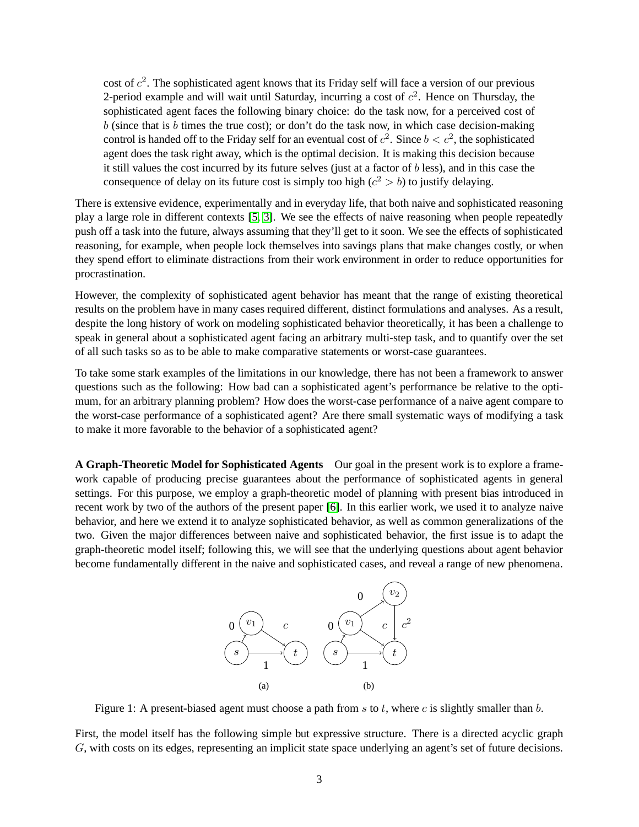cost of  $c^2$ . The sophisticated agent knows that its Friday self will face a version of our previous 2-period example and will wait until Saturday, incurring a cost of  $c^2$ . Hence on Thursday, the sophisticated agent faces the following binary choice: do the task now, for a perceived cost of  $b$  (since that is  $b$  times the true cost); or don't do the task now, in which case decision-making control is handed off to the Friday self for an eventual cost of  $c^2$ . Since  $b < c^2$ , the sophisticated agent does the task right away, which is the optimal decision. It is making this decision because it still values the cost incurred by its future selves (just at a factor of  $b$  less), and in this case the consequence of delay on its future cost is simply too high  $(c^2 > b)$  to justify delaying.

There is extensive evidence, experimentally and in everyday life, that both naive and sophisticated reasoning play a large role in different contexts [\[5,](#page-19-2) [3\]](#page-18-1). We see the effects of naive reasoning when people repeatedly push off a task into the future, always assuming that they'll get to it soon. We see the effects of sophisticated reasoning, for example, when people lock themselves into savings plans that make changes costly, or when they spend effort to eliminate distractions from their work environment in order to reduce opportunities for procrastination.

However, the complexity of sophisticated agent behavior has meant that the range of existing theoretical results on the problem have in many cases required different, distinct formulations and analyses. As a result, despite the long history of work on modeling sophisticated behavior theoretically, it has been a challenge to speak in general about a sophisticated agent facing an arbitrary multi-step task, and to quantify over the set of all such tasks so as to be able to make comparative statements or worst-case guarantees.

To take some stark examples of the limitations in our knowledge, there has not been a framework to answer questions such as the following: How bad can a sophisticated agent's performance be relative to the optimum, for an arbitrary planning problem? How does the worst-case performance of a naive agent compare to the worst-case performance of a sophisticated agent? Are there small systematic ways of modifying a task to make it more favorable to the behavior of a sophisticated agent?

<span id="page-3-1"></span>**A Graph-Theoretic Model for Sophisticated Agents** Our goal in the present work is to explore a framework capable of producing precise guarantees about the performance of sophisticated agents in general settings. For this purpose, we employ a graph-theoretic model of planning with present bias introduced in recent work by two of the authors of the present paper [\[6\]](#page-19-6). In this earlier work, we used it to analyze naive behavior, and here we extend it to analyze sophisticated behavior, as well as common generalizations of the two. Given the major differences between naive and sophisticated behavior, the first issue is to adapt the graph-theoretic model itself; following this, we will see that the underlying questions about agent behavior become fundamentally different in the naive and sophisticated cases, and reveal a range of new phenomena.

<span id="page-3-2"></span>

<span id="page-3-0"></span>Figure 1: A present-biased agent must choose a path from s to t, where c is slightly smaller than  $b$ .

First, the model itself has the following simple but expressive structure. There is a directed acyclic graph G, with costs on its edges, representing an implicit state space underlying an agent's set of future decisions.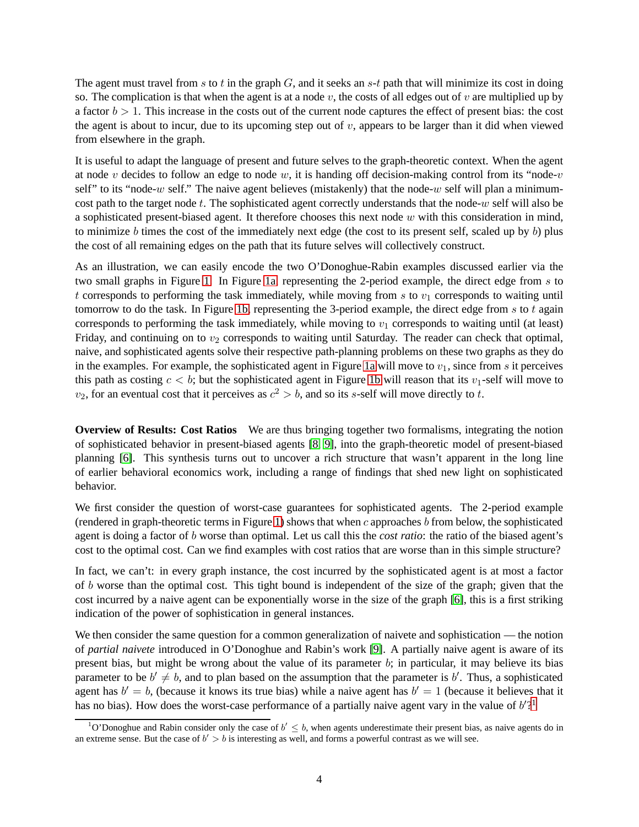The agent must travel from s to t in the graph  $G$ , and it seeks an s-t path that will minimize its cost in doing so. The complication is that when the agent is at a node  $v$ , the costs of all edges out of  $v$  are multiplied up by a factor  $b > 1$ . This increase in the costs out of the current node captures the effect of present bias: the cost the agent is about to incur, due to its upcoming step out of  $v$ , appears to be larger than it did when viewed from elsewhere in the graph.

It is useful to adapt the language of present and future selves to the graph-theoretic context. When the agent at node v decides to follow an edge to node w, it is handing off decision-making control from its "node-v self" to its "node-w self." The naive agent believes (mistakenly) that the node-w self will plan a minimumcost path to the target node t. The sophisticated agent correctly understands that the node-w self will also be a sophisticated present-biased agent. It therefore chooses this next node  $w$  with this consideration in mind, to minimize b times the cost of the immediately next edge (the cost to its present self, scaled up by b) plus the cost of all remaining edges on the path that its future selves will collectively construct.

As an illustration, we can easily encode the two O'Donoghue-Rabin examples discussed earlier via the two small graphs in Figure [1.](#page-3-0) In Figure [1a,](#page-3-1) representing the 2-period example, the direct edge from s to t corresponds to performing the task immediately, while moving from s to  $v_1$  corresponds to waiting until tomorrow to do the task. In Figure [1b,](#page-3-2) representing the 3-period example, the direct edge from  $s$  to  $t$  again corresponds to performing the task immediately, while moving to  $v_1$  corresponds to waiting until (at least) Friday, and continuing on to  $v_2$  corresponds to waiting until Saturday. The reader can check that optimal, naive, and sophisticated agents solve their respective path-planning problems on these two graphs as they do in the examples. For example, the sophisticated agent in Figure [1a](#page-3-1) will move to  $v_1$ , since from s it perceives this path as costing  $c < b$ ; but the sophisticated agent in Figure [1b](#page-3-2) will reason that its  $v_1$ -self will move to  $v_2$ , for an eventual cost that it perceives as  $c^2 > b$ , and so its s-self will move directly to t.

**Overview of Results: Cost Ratios** We are thus bringing together two formalisms, integrating the notion of sophisticated behavior in present-biased agents [\[8,](#page-19-4) [9\]](#page-19-5), into the graph-theoretic model of present-biased planning [\[6\]](#page-19-6). This synthesis turns out to uncover a rich structure that wasn't apparent in the long line of earlier behavioral economics work, including a range of findings that shed new light on sophisticated behavior.

We first consider the question of worst-case guarantees for sophisticated agents. The 2-period example (rendered in graph-theoretic terms in Figure [1\)](#page-3-0) shows that when  $c$  approaches  $b$  from below, the sophisticated agent is doing a factor of b worse than optimal. Let us call this the *cost ratio*: the ratio of the biased agent's cost to the optimal cost. Can we find examples with cost ratios that are worse than in this simple structure?

In fact, we can't: in every graph instance, the cost incurred by the sophisticated agent is at most a factor of b worse than the optimal cost. This tight bound is independent of the size of the graph; given that the cost incurred by a naive agent can be exponentially worse in the size of the graph [\[6\]](#page-19-6), this is a first striking indication of the power of sophistication in general instances.

We then consider the same question for a common generalization of naivete and sophistication — the notion of *partial naivete* introduced in O'Donoghue and Rabin's work [\[9\]](#page-19-5). A partially naive agent is aware of its present bias, but might be wrong about the value of its parameter  $b$ ; in particular, it may believe its bias parameter to be  $b' \neq b$ , and to plan based on the assumption that the parameter is  $b'$ . Thus, a sophisticated agent has  $b' = b$ , (because it knows its true bias) while a naive agent has  $b' = 1$  (because it believes that it has no bias). How does the worst-case performance of a partially naive agent vary in the value of  $b'$ ?

<span id="page-4-0"></span><sup>&</sup>lt;sup>1</sup>O'Donoghue and Rabin consider only the case of  $b' \leq b$ , when agents underestimate their present bias, as naive agents do in an extreme sense. But the case of  $b' > b$  is interesting as well, and forms a powerful contrast as we will see.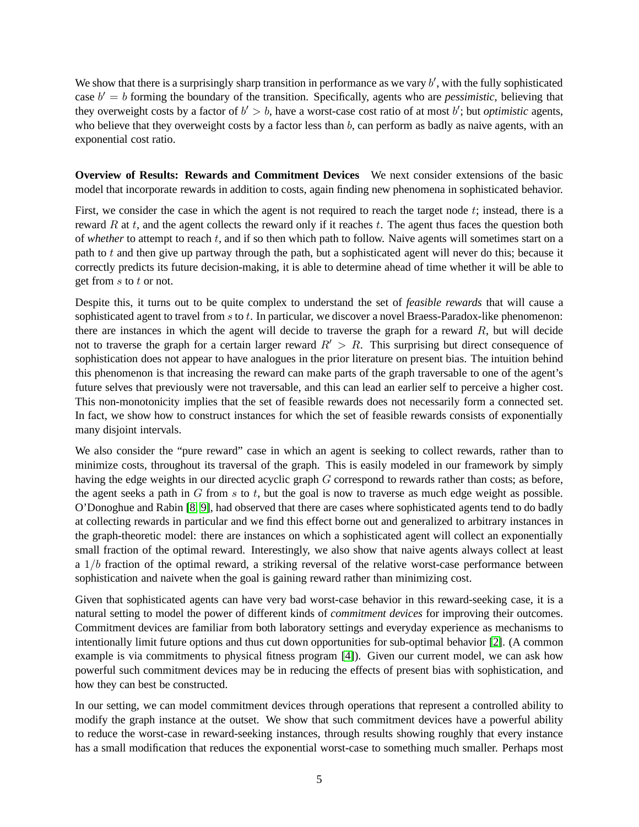We show that there is a surprisingly sharp transition in performance as we vary  $b'$ , with the fully sophisticated case  $b' = b$  forming the boundary of the transition. Specifically, agents who are *pessimistic*, believing that they overweight costs by a factor of  $b' > b$ , have a worst-case cost ratio of at most  $b'$ ; but *optimistic* agents, who believe that they overweight costs by a factor less than b, can perform as badly as naive agents, with an exponential cost ratio.

**Overview of Results: Rewards and Commitment Devices** We next consider extensions of the basic model that incorporate rewards in addition to costs, again finding new phenomena in sophisticated behavior.

First, we consider the case in which the agent is not required to reach the target node  $t$ ; instead, there is a reward R at  $t$ , and the agent collects the reward only if it reaches  $t$ . The agent thus faces the question both of *whether* to attempt to reach t, and if so then which path to follow. Naive agents will sometimes start on a path to t and then give up partway through the path, but a sophisticated agent will never do this; because it correctly predicts its future decision-making, it is able to determine ahead of time whether it will be able to get from  $s$  to  $t$  or not.

Despite this, it turns out to be quite complex to understand the set of *feasible rewards* that will cause a sophisticated agent to travel from s to t. In particular, we discover a novel Braess-Paradox-like phenomenon: there are instances in which the agent will decide to traverse the graph for a reward  $R$ , but will decide not to traverse the graph for a certain larger reward  $R' > R$ . This surprising but direct consequence of sophistication does not appear to have analogues in the prior literature on present bias. The intuition behind this phenomenon is that increasing the reward can make parts of the graph traversable to one of the agent's future selves that previously were not traversable, and this can lead an earlier self to perceive a higher cost. This non-monotonicity implies that the set of feasible rewards does not necessarily form a connected set. In fact, we show how to construct instances for which the set of feasible rewards consists of exponentially many disjoint intervals.

We also consider the "pure reward" case in which an agent is seeking to collect rewards, rather than to minimize costs, throughout its traversal of the graph. This is easily modeled in our framework by simply having the edge weights in our directed acyclic graph G correspond to rewards rather than costs; as before, the agent seeks a path in  $G$  from  $s$  to  $t$ , but the goal is now to traverse as much edge weight as possible. O'Donoghue and Rabin [\[8,](#page-19-4) [9\]](#page-19-5), had observed that there are cases where sophisticated agents tend to do badly at collecting rewards in particular and we find this effect borne out and generalized to arbitrary instances in the graph-theoretic model: there are instances on which a sophisticated agent will collect an exponentially small fraction of the optimal reward. Interestingly, we also show that naive agents always collect at least a  $1/b$  fraction of the optimal reward, a striking reversal of the relative worst-case performance between sophistication and naivete when the goal is gaining reward rather than minimizing cost.

Given that sophisticated agents can have very bad worst-case behavior in this reward-seeking case, it is a natural setting to model the power of different kinds of *commitment devices* for improving their outcomes. Commitment devices are familiar from both laboratory settings and everyday experience as mechanisms to intentionally limit future options and thus cut down opportunities for sub-optimal behavior [\[2\]](#page-18-2). (A common example is via commitments to physical fitness program [\[4\]](#page-19-7)). Given our current model, we can ask how powerful such commitment devices may be in reducing the effects of present bias with sophistication, and how they can best be constructed.

In our setting, we can model commitment devices through operations that represent a controlled ability to modify the graph instance at the outset. We show that such commitment devices have a powerful ability to reduce the worst-case in reward-seeking instances, through results showing roughly that every instance has a small modification that reduces the exponential worst-case to something much smaller. Perhaps most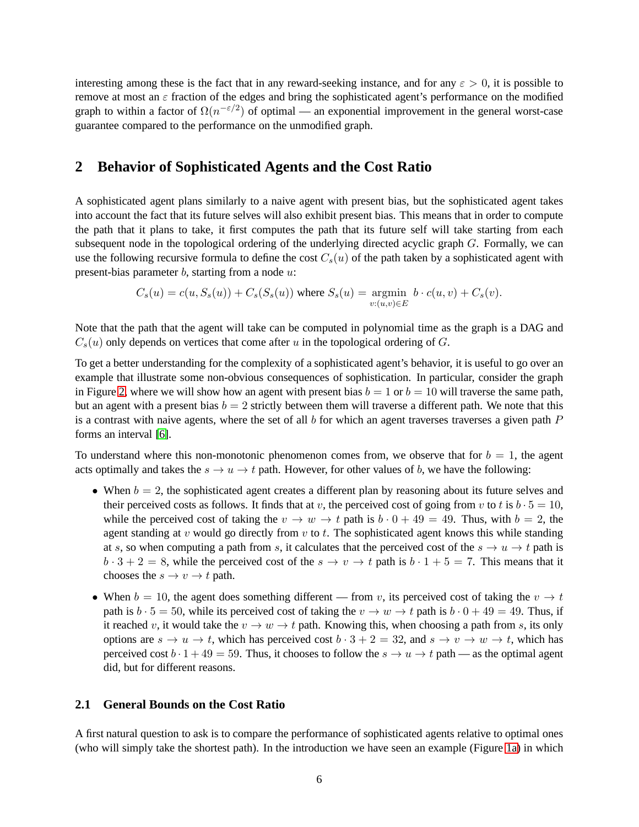interesting among these is the fact that in any reward-seeking instance, and for any  $\varepsilon > 0$ , it is possible to remove at most an  $\varepsilon$  fraction of the edges and bring the sophisticated agent's performance on the modified graph to within a factor of  $\Omega(n^{-\epsilon/2})$  of optimal — an exponential improvement in the general worst-case guarantee compared to the performance on the unmodified graph.

### **2 Behavior of Sophisticated Agents and the Cost Ratio**

A sophisticated agent plans similarly to a naive agent with present bias, but the sophisticated agent takes into account the fact that its future selves will also exhibit present bias. This means that in order to compute the path that it plans to take, it first computes the path that its future self will take starting from each subsequent node in the topological ordering of the underlying directed acyclic graph G. Formally, we can use the following recursive formula to define the cost  $C_s(u)$  of the path taken by a sophisticated agent with present-bias parameter  $b$ , starting from a node  $u$ :

$$
C_s(u) = c(u, S_s(u)) + C_s(S_s(u))
$$
 where  $S_s(u) = \underset{v:(u,v) \in E}{\text{argmin}} b \cdot c(u, v) + C_s(v)$ .

Note that the path that the agent will take can be computed in polynomial time as the graph is a DAG and  $C_s(u)$  only depends on vertices that come after u in the topological ordering of G.

To get a better understanding for the complexity of a sophisticated agent's behavior, it is useful to go over an example that illustrate some non-obvious consequences of sophistication. In particular, consider the graph in Figure [2,](#page-7-0) where we will show how an agent with present bias  $b = 1$  or  $b = 10$  will traverse the same path, but an agent with a present bias  $b = 2$  strictly between them will traverse a different path. We note that this is a contrast with naive agents, where the set of all  $b$  for which an agent traverses traverses a given path  $P$ forms an interval [\[6\]](#page-19-6).

To understand where this non-monotonic phenomenon comes from, we observe that for  $b = 1$ , the agent acts optimally and takes the  $s \to u \to t$  path. However, for other values of b, we have the following:

- When  $b = 2$ , the sophisticated agent creates a different plan by reasoning about its future selves and their perceived costs as follows. It finds that at v, the perceived cost of going from v to t is  $b \cdot 5 = 10$ , while the perceived cost of taking the  $v \to w \to t$  path is  $b \cdot 0 + 49 = 49$ . Thus, with  $b = 2$ , the agent standing at  $v$  would go directly from  $v$  to  $t$ . The sophisticated agent knows this while standing at s, so when computing a path from s, it calculates that the perceived cost of the  $s \to u \to t$  path is  $b \cdot 3 + 2 = 8$ , while the perceived cost of the  $s \to v \to t$  path is  $b \cdot 1 + 5 = 7$ . This means that it chooses the  $s \to v \to t$  path.
- When  $b = 10$ , the agent does something different from v, its perceived cost of taking the  $v \rightarrow t$ path is  $b \cdot 5 = 50$ , while its perceived cost of taking the  $v \to w \to t$  path is  $b \cdot 0 + 49 = 49$ . Thus, if it reached v, it would take the  $v \to w \to t$  path. Knowing this, when choosing a path from s, its only options are  $s \to u \to t$ , which has perceived cost  $b \cdot 3 + 2 = 32$ , and  $s \to v \to w \to t$ , which has perceived cost  $b \cdot 1 + 49 = 59$ . Thus, it chooses to follow the  $s \to u \to t$  path — as the optimal agent did, but for different reasons.

#### **2.1 General Bounds on the Cost Ratio**

A first natural question to ask is to compare the performance of sophisticated agents relative to optimal ones (who will simply take the shortest path). In the introduction we have seen an example (Figure [1a\)](#page-3-1) in which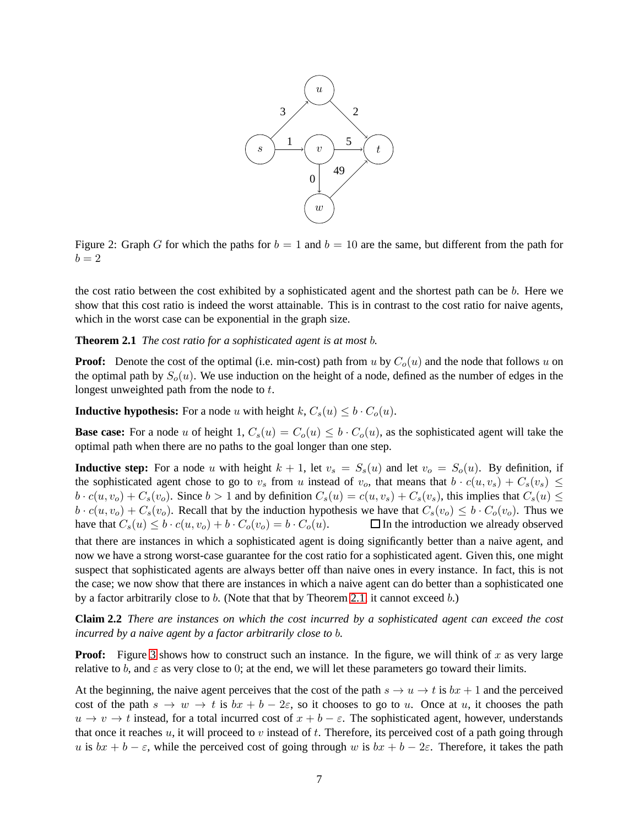

<span id="page-7-0"></span>Figure 2: Graph G for which the paths for  $b = 1$  and  $b = 10$  are the same, but different from the path for  $b=2$ 

the cost ratio between the cost exhibited by a sophisticated agent and the shortest path can be b. Here we show that this cost ratio is indeed the worst attainable. This is in contrast to the cost ratio for naive agents, which in the worst case can be exponential in the graph size.

#### <span id="page-7-1"></span>**Theorem 2.1** *The cost ratio for a sophisticated agent is at most* b*.*

**Proof:** Denote the cost of the optimal (i.e. min-cost) path from u by  $C<sub>o</sub>(u)$  and the node that follows u on the optimal path by  $S<sub>o</sub>(u)$ . We use induction on the height of a node, defined as the number of edges in the longest unweighted path from the node to t.

**Inductive hypothesis:** For a node u with height k,  $C_s(u) \leq b \cdot C_o(u)$ .

**Base case:** For a node u of height 1,  $C_s(u) = C_o(u) \leq b \cdot C_o(u)$ , as the sophisticated agent will take the optimal path when there are no paths to the goal longer than one step.

**Inductive step:** For a node u with height  $k + 1$ , let  $v_s = S_s(u)$  and let  $v_o = S_o(u)$ . By definition, if the sophisticated agent chose to go to  $v_s$  from u instead of  $v_o$ , that means that  $b \cdot c(u, v_s) + C_s(v_s) \leq$  $b \cdot c(u, v_o) + C_s(v_o)$ . Since  $b > 1$  and by definition  $C_s(u) = c(u, v_s) + C_s(v_s)$ , this implies that  $C_s(u) \leq$  $b \cdot c(u, v_o) + C_s(v_o)$ . Recall that by the induction hypothesis we have that  $C_s(v_o) \leq b \cdot C_o(v_o)$ . Thus we have that  $C_s(u) \leq b \cdot c(u, v_0) + b \cdot C_o(v_0) = b \cdot C_o(u)$ .  $\Box$  In the introduction we already observed that there are instances in which a sophisticated agent is doing significantly better than a naive agent, and now we have a strong worst-case guarantee for the cost ratio for a sophisticated agent. Given this, one might suspect that sophisticated agents are always better off than naive ones in every instance. In fact, this is not the case; we now show that there are instances in which a naive agent can do better than a sophisticated one by a factor arbitrarily close to b. (Note that that by Theorem [2.1,](#page-7-1) it cannot exceed b.)

**Claim 2.2** *There are instances on which the cost incurred by a sophisticated agent can exceed the cost incurred by a naive agent by a factor arbitrarily close to* b*.*

**Proof:** Figure [3](#page-8-0) shows how to construct such an instance. In the figure, we will think of x as very large relative to b, and  $\varepsilon$  as very close to 0; at the end, we will let these parameters go toward their limits.

At the beginning, the naive agent perceives that the cost of the path  $s \to u \to t$  is  $bx + 1$  and the perceived cost of the path  $s \to w \to t$  is  $bx + b - 2\varepsilon$ , so it chooses to go to u. Once at u, it chooses the path  $u \to v \to t$  instead, for a total incurred cost of  $x + b - \varepsilon$ . The sophisticated agent, however, understands that once it reaches  $u$ , it will proceed to v instead of t. Therefore, its perceived cost of a path going through u is  $bx + b - \varepsilon$ , while the perceived cost of going through w is  $bx + b - 2\varepsilon$ . Therefore, it takes the path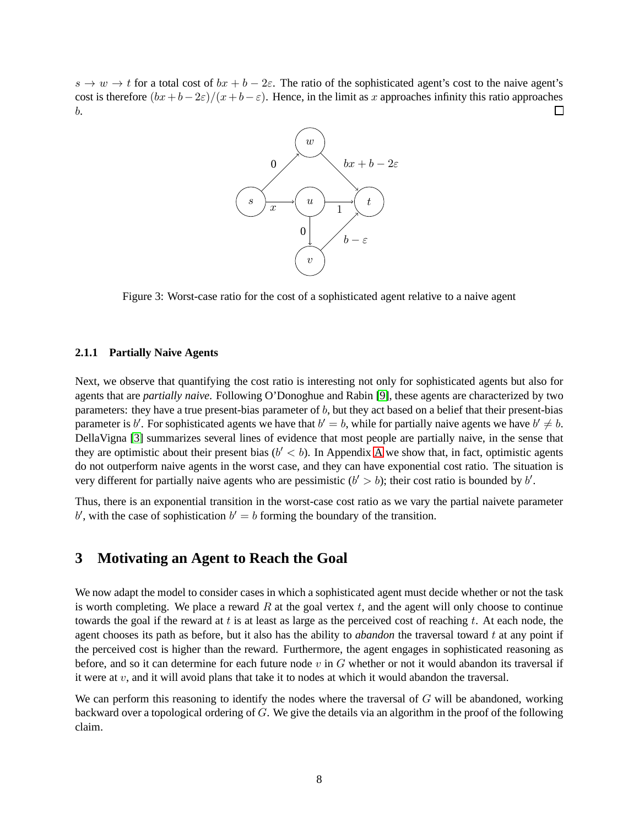$s \to w \to t$  for a total cost of  $bx + b - 2\varepsilon$ . The ratio of the sophisticated agent's cost to the naive agent's cost is therefore  $(bx+b-2\varepsilon)/(x+b-\varepsilon)$ . Hence, in the limit as x approaches infinity this ratio approaches  $\Box$ b.



<span id="page-8-0"></span>Figure 3: Worst-case ratio for the cost of a sophisticated agent relative to a naive agent

#### **2.1.1 Partially Naive Agents**

Next, we observe that quantifying the cost ratio is interesting not only for sophisticated agents but also for agents that are *partially naive*. Following O'Donoghue and Rabin [\[9\]](#page-19-5), these agents are characterized by two parameters: they have a true present-bias parameter of b, but they act based on a belief that their present-bias parameter is b'. For sophisticated agents we have that  $b' = b$ , while for partially naive agents we have  $b' \neq b$ . DellaVigna [\[3\]](#page-18-1) summarizes several lines of evidence that most people are partially naive, in the sense that they are optimistic about their present bias  $(b' < b)$ . In [A](#page-20-0)ppendix A we show that, in fact, optimistic agents do not outperform naive agents in the worst case, and they can have exponential cost ratio. The situation is very different for partially naive agents who are pessimistic  $(b' > b)$ ; their cost ratio is bounded by b'.

Thus, there is an exponential transition in the worst-case cost ratio as we vary the partial naivete parameter  $b'$ , with the case of sophistication  $b' = b$  forming the boundary of the transition.

# **3 Motivating an Agent to Reach the Goal**

We now adapt the model to consider cases in which a sophisticated agent must decide whether or not the task is worth completing. We place a reward  $R$  at the goal vertex  $t$ , and the agent will only choose to continue towards the goal if the reward at t is at least as large as the perceived cost of reaching t. At each node, the agent chooses its path as before, but it also has the ability to *abandon* the traversal toward  $t$  at any point if the perceived cost is higher than the reward. Furthermore, the agent engages in sophisticated reasoning as before, and so it can determine for each future node  $v$  in  $G$  whether or not it would abandon its traversal if it were at  $v$ , and it will avoid plans that take it to nodes at which it would abandon the traversal.

We can perform this reasoning to identify the nodes where the traversal of  $G$  will be abandoned, working backward over a topological ordering of G. We give the details via an algorithm in the proof of the following claim.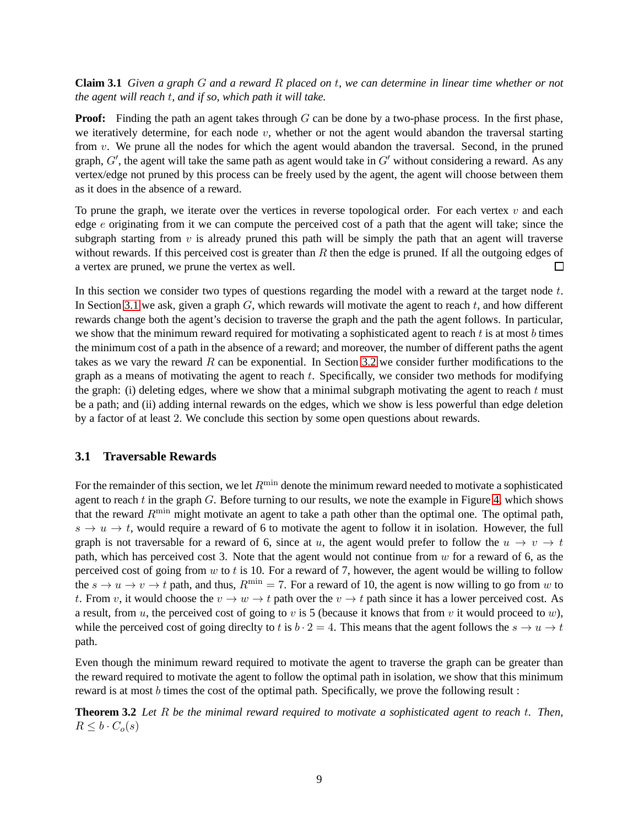**Claim 3.1** *Given a graph* G *and a reward* R *placed on* t*, we can determine in linear time whether or not the agent will reach* t*, and if so, which path it will take.*

**Proof:** Finding the path an agent takes through G can be done by a two-phase process. In the first phase, we iteratively determine, for each node  $v$ , whether or not the agent would abandon the traversal starting from v. We prune all the nodes for which the agent would abandon the traversal. Second, in the pruned graph,  $G'$ , the agent will take the same path as agent would take in  $G'$  without considering a reward. As any vertex/edge not pruned by this process can be freely used by the agent, the agent will choose between them as it does in the absence of a reward.

To prune the graph, we iterate over the vertices in reverse topological order. For each vertex  $v$  and each edge e originating from it we can compute the perceived cost of a path that the agent will take; since the subgraph starting from  $v$  is already pruned this path will be simply the path that an agent will traverse without rewards. If this perceived cost is greater than  $R$  then the edge is pruned. If all the outgoing edges of a vertex are pruned, we prune the vertex as well.  $\Box$ 

In this section we consider two types of questions regarding the model with a reward at the target node  $t$ . In Section [3.1](#page-9-0) we ask, given a graph  $G$ , which rewards will motivate the agent to reach  $t$ , and how different rewards change both the agent's decision to traverse the graph and the path the agent follows. In particular, we show that the minimum reward required for motivating a sophisticated agent to reach  $t$  is at most  $b$  times the minimum cost of a path in the absence of a reward; and moreover, the number of different paths the agent takes as we vary the reward  $R$  can be exponential. In Section [3.2](#page-12-0) we consider further modifications to the graph as a means of motivating the agent to reach  $t$ . Specifically, we consider two methods for modifying the graph: (i) deleting edges, where we show that a minimal subgraph motivating the agent to reach  $t$  must be a path; and (ii) adding internal rewards on the edges, which we show is less powerful than edge deletion by a factor of at least 2. We conclude this section by some open questions about rewards.

#### <span id="page-9-0"></span>**3.1 Traversable Rewards**

For the remainder of this section, we let  $R^{\min}$  denote the minimum reward needed to motivate a sophisticated agent to reach  $t$  in the graph  $G$ . Before turning to our results, we note the example in Figure [4,](#page-10-0) which shows that the reward  $R^{\min}$  might motivate an agent to take a path other than the optimal one. The optimal path,  $s \to u \to t$ , would require a reward of 6 to motivate the agent to follow it in isolation. However, the full graph is not traversable for a reward of 6, since at u, the agent would prefer to follow the  $u \to v \to t$ path, which has perceived cost 3. Note that the agent would not continue from  $w$  for a reward of 6, as the perceived cost of going from w to t is 10. For a reward of 7, however, the agent would be willing to follow the  $s \to u \to v \to t$  path, and thus,  $R^{\min} = 7$ . For a reward of 10, the agent is now willing to go from w to t. From v, it would choose the  $v \to w \to t$  path over the  $v \to t$  path since it has a lower perceived cost. As a result, from u, the perceived cost of going to v is 5 (because it knows that from v it would proceed to w), while the perceived cost of going directly to t is  $b \cdot 2 = 4$ . This means that the agent follows the  $s \to u \to t$ path.

Even though the minimum reward required to motivate the agent to traverse the graph can be greater than the reward required to motivate the agent to follow the optimal path in isolation, we show that this minimum reward is at most b times the cost of the optimal path. Specifically, we prove the following result :

<span id="page-9-1"></span>**Theorem 3.2** *Let* R *be the minimal reward required to motivate a sophisticated agent to reach* t*. Then,*  $R \leq b \cdot C_o(s)$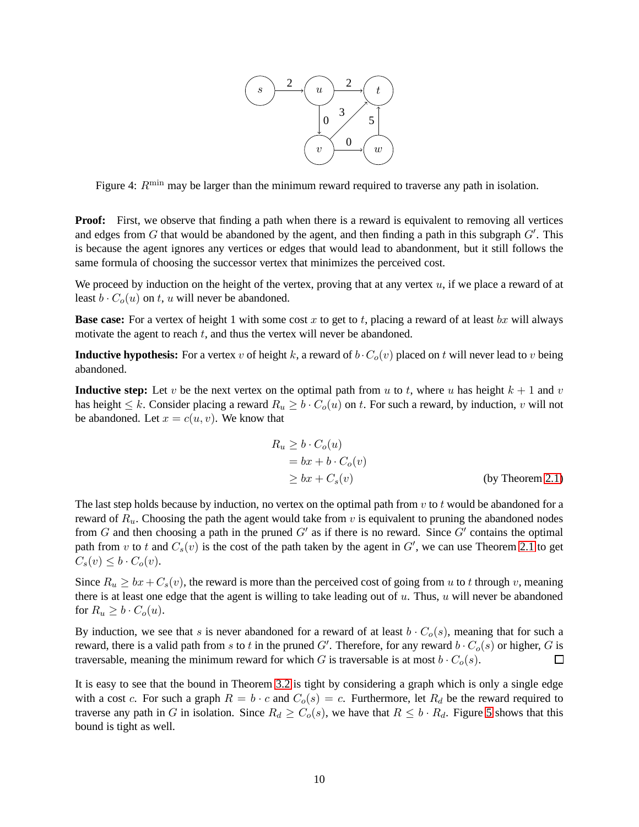

<span id="page-10-0"></span>Figure 4:  $R^{\text{min}}$  may be larger than the minimum reward required to traverse any path in isolation.

**Proof:** First, we observe that finding a path when there is a reward is equivalent to removing all vertices and edges from  $G$  that would be abandoned by the agent, and then finding a path in this subgraph  $G'$ . This is because the agent ignores any vertices or edges that would lead to abandonment, but it still follows the same formula of choosing the successor vertex that minimizes the perceived cost.

We proceed by induction on the height of the vertex, proving that at any vertex  $u$ , if we place a reward of at least  $b \cdot C<sub>o</sub>(u)$  on t, u will never be abandoned.

**Base case:** For a vertex of height 1 with some cost x to get to t, placing a reward of at least bx will always motivate the agent to reach  $t$ , and thus the vertex will never be abandoned.

**Inductive hypothesis:** For a vertex v of height k, a reward of  $b \cdot C_o(v)$  placed on t will never lead to v being abandoned.

**Inductive step:** Let v be the next vertex on the optimal path from u to t, where u has height  $k + 1$  and v has height  $\leq k$ . Consider placing a reward  $R_u \geq b \cdot C_o(u)$  on t. For such a reward, by induction, v will not be abandoned. Let  $x = c(u, v)$ . We know that

$$
R_u \ge b \cdot C_o(u)
$$
  
= bx + b \cdot C\_o(v)  

$$
\ge bx + C_s(v)
$$
 (by Theorem 2.1)

The last step holds because by induction, no vertex on the optimal path from  $v$  to  $t$  would be abandoned for a reward of  $R_u$ . Choosing the path the agent would take from v is equivalent to pruning the abandoned nodes from G and then choosing a path in the pruned  $G'$  as if there is no reward. Since  $G'$  contains the optimal path from v to t and  $C_s(v)$  is the cost of the path taken by the agent in  $G'$ , we can use Theorem [2.1](#page-7-1) to get  $C_s(v) \leq b \cdot C_o(v)$ .

Since  $R_u \ge bx + C_s(v)$ , the reward is more than the perceived cost of going from u to t through v, meaning there is at least one edge that the agent is willing to take leading out of  $u$ . Thus,  $u$  will never be abandoned for  $R_u \geq b \cdot C_o(u)$ .

By induction, we see that s is never abandoned for a reward of at least  $b \cdot C_o(s)$ , meaning that for such a reward, there is a valid path from s to t in the pruned G'. Therefore, for any reward  $b \cdot C_o(s)$  or higher, G is traversable, meaning the minimum reward for which G is traversable is at most  $b \cdot C_o(s)$ .  $\Box$ 

It is easy to see that the bound in Theorem [3.2](#page-9-1) is tight by considering a graph which is only a single edge with a cost c. For such a graph  $R = b \cdot c$  and  $C_o(s) = c$ . Furthermore, let  $R_d$  be the reward required to traverse any path in G in isolation. Since  $R_d \geq C_o(s)$ , we have that  $R \leq b \cdot R_d$ . Figure [5](#page-11-0) shows that this bound is tight as well.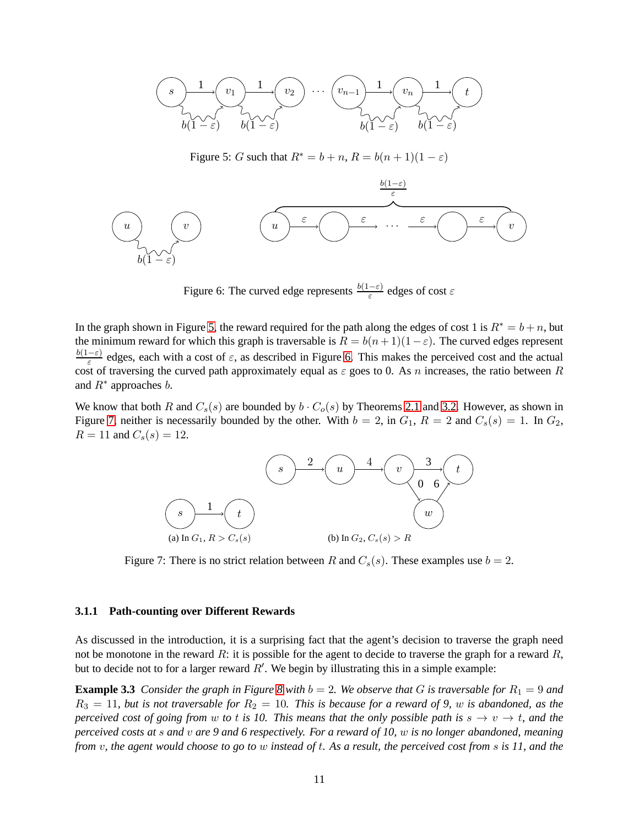

<span id="page-11-0"></span>Figure 5: G such that  $R^* = b + n$ ,  $R = b(n + 1)(1 - \varepsilon)$ 



<span id="page-11-1"></span>Figure 6: The curved edge represents  $\frac{b(1-\varepsilon)}{\varepsilon}$  edges of cost  $\varepsilon$ 

In the graph shown in Figure [5,](#page-11-0) the reward required for the path along the edges of cost 1 is  $R^* = b + n$ , but the minimum reward for which this graph is traversable is  $R = b(n+1)(1-\varepsilon)$ . The curved edges represent  $b(1-\varepsilon)$  $\frac{-\varepsilon}{\varepsilon}$  edges, each with a cost of  $\varepsilon$ , as described in Figure [6.](#page-11-1) This makes the perceived cost and the actual cost of traversing the curved path approximately equal as  $\varepsilon$  goes to 0. As n increases, the ratio between R and  $R^*$  approaches b.

We know that both R and  $C_s(s)$  are bounded by  $b \cdot C_o(s)$  by Theorems [2.1](#page-7-1) and [3.2.](#page-9-1) However, as shown in Figure [7,](#page-11-2) neither is necessarily bounded by the other. With  $b = 2$ , in  $G_1$ ,  $R = 2$  and  $C_s(s) = 1$ . In  $G_2$ ,  $R = 11$  and  $C_s(s) = 12$ .



<span id="page-11-2"></span>Figure 7: There is no strict relation between R and  $C_s(s)$ . These examples use  $b = 2$ .

#### **3.1.1 Path-counting over Different Rewards**

As discussed in the introduction, it is a surprising fact that the agent's decision to traverse the graph need not be monotone in the reward R: it is possible for the agent to decide to traverse the graph for a reward  $R$ , but to decide not to for a larger reward  $R'$ . We begin by illustrating this in a simple example:

**Example 3.3** *Consider the graph in Figure* [8](#page-12-1) *with*  $b = 2$ *. We observe that* G *is traversable for*  $R_1 = 9$  *and*  $R_3 = 11$ , but is not traversable for  $R_2 = 10$ . This is because for a reward of 9, w is abandoned, as the *perceived cost of going from w to t is 10. This means that the only possible path is*  $s \to v \to t$ , and the *perceived costs at* s *and* v *are 9 and 6 respectively. For a reward of 10,* w *is no longer abandoned, meaning from* v*, the agent would choose to go to* w *instead of* t*. As a result, the perceived cost from* s *is 11, and the*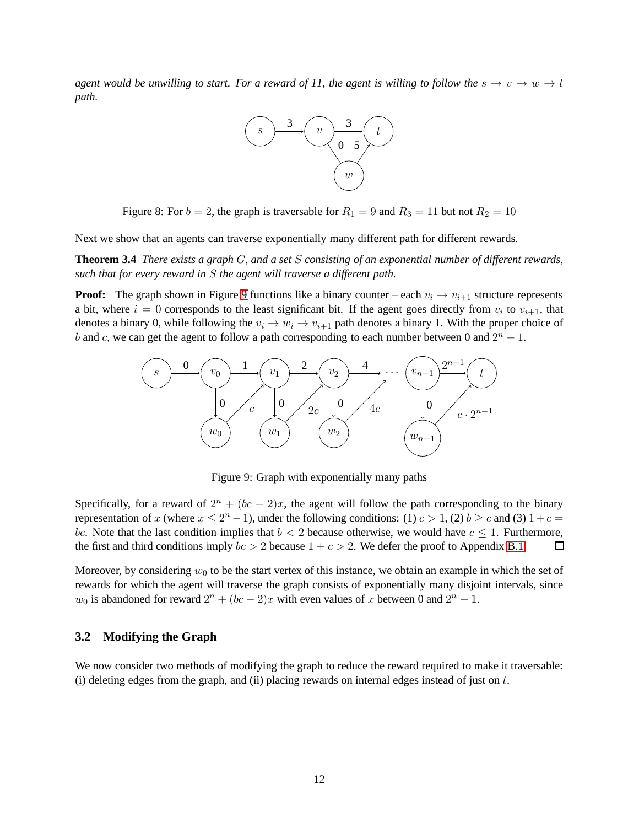*agent would be unwilling to start. For a reward of 11, the agent is willing to follow the*  $s \to v \to w \to t$ *path.*



<span id="page-12-1"></span>Figure 8: For  $b = 2$ , the graph is traversable for  $R_1 = 9$  and  $R_3 = 11$  but not  $R_2 = 10$ 

Next we show that an agents can traverse exponentially many different path for different rewards.

**Theorem 3.4** *There exists a graph* G*, and a set* S *consisting of an exponential number of different rewards, such that for every reward in* S *the agent will traverse a different path.*

**Proof:** The graph shown in Figure [9](#page-12-2) functions like a binary counter – each  $v_i \rightarrow v_{i+1}$  structure represents a bit, where  $i = 0$  corresponds to the least significant bit. If the agent goes directly from  $v_i$  to  $v_{i+1}$ , that denotes a binary 0, while following the  $v_i \to w_i \to v_{i+1}$  path denotes a binary 1. With the proper choice of b and c, we can get the agent to follow a path corresponding to each number between 0 and  $2^n - 1$ .



<span id="page-12-2"></span>Figure 9: Graph with exponentially many paths

Specifically, for a reward of  $2^n + (bc - 2)x$ , the agent will follow the path corresponding to the binary representation of x (where  $x \le 2^n - 1$ ), under the following conditions: (1)  $c > 1$ , (2)  $b \ge c$  and (3)  $1 + c =$ bc. Note that the last condition implies that  $b < 2$  because otherwise, we would have  $c \le 1$ . Furthermore, the first and third conditions imply  $bc > 2$  because  $1 + c > 2$ . We defer the proof to Appendix [B.1.](#page-22-0)  $\Box$ 

Moreover, by considering  $w_0$  to be the start vertex of this instance, we obtain an example in which the set of rewards for which the agent will traverse the graph consists of exponentially many disjoint intervals, since  $w_0$  is abandoned for reward  $2^n + (bc - 2)x$  with even values of x between 0 and  $2^n - 1$ .

#### <span id="page-12-0"></span>**3.2 Modifying the Graph**

We now consider two methods of modifying the graph to reduce the reward required to make it traversable: (i) deleting edges from the graph, and (ii) placing rewards on internal edges instead of just on  $t$ .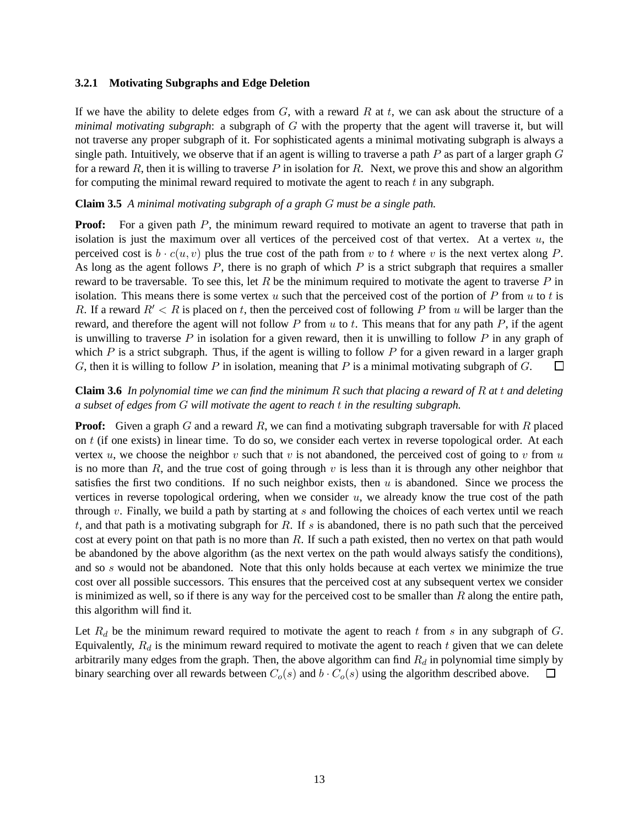#### **3.2.1 Motivating Subgraphs and Edge Deletion**

If we have the ability to delete edges from  $G$ , with a reward  $R$  at  $t$ , we can ask about the structure of a *minimal motivating subgraph*: a subgraph of G with the property that the agent will traverse it, but will not traverse any proper subgraph of it. For sophisticated agents a minimal motivating subgraph is always a single path. Intuitively, we observe that if an agent is willing to traverse a path  $P$  as part of a larger graph  $G$ for a reward R, then it is willing to traverse P in isolation for R. Next, we prove this and show an algorithm for computing the minimal reward required to motivate the agent to reach  $t$  in any subgraph.

#### <span id="page-13-0"></span>**Claim 3.5** *A minimal motivating subgraph of a graph* G *must be a single path.*

**Proof:** For a given path P, the minimum reward required to motivate an agent to traverse that path in isolation is just the maximum over all vertices of the perceived cost of that vertex. At a vertex  $u$ , the perceived cost is  $b \cdot c(u, v)$  plus the true cost of the path from v to t where v is the next vertex along P. As long as the agent follows  $P$ , there is no graph of which  $P$  is a strict subgraph that requires a smaller reward to be traversable. To see this, let  $R$  be the minimum required to motivate the agent to traverse  $P$  in isolation. This means there is some vertex u such that the perceived cost of the portion of  $P$  from u to t is R. If a reward  $R' < R$  is placed on t, then the perceived cost of following P from u will be larger than the reward, and therefore the agent will not follow P from  $u$  to  $t$ . This means that for any path P, if the agent is unwilling to traverse  $P$  in isolation for a given reward, then it is unwilling to follow  $P$  in any graph of which P is a strict subgraph. Thus, if the agent is willing to follow P for a given reward in a larger graph G, then it is willing to follow P in isolation, meaning that P is a minimal motivating subgraph of  $G$ . П

### **Claim 3.6** *In polynomial time we can find the minimum* R *such that placing a reward of* R *at* t *and deleting a subset of edges from* G *will motivate the agent to reach* t *in the resulting subgraph.*

**Proof:** Given a graph G and a reward R, we can find a motivating subgraph traversable for with R placed on  $t$  (if one exists) in linear time. To do so, we consider each vertex in reverse topological order. At each vertex u, we choose the neighbor v such that v is not abandoned, the perceived cost of going to v from u is no more than R, and the true cost of going through v is less than it is through any other neighbor that satisfies the first two conditions. If no such neighbor exists, then  $u$  is abandoned. Since we process the vertices in reverse topological ordering, when we consider  $u$ , we already know the true cost of the path through  $v$ . Finally, we build a path by starting at  $s$  and following the choices of each vertex until we reach t, and that path is a motivating subgraph for R. If s is abandoned, there is no path such that the perceived cost at every point on that path is no more than  $R$ . If such a path existed, then no vertex on that path would be abandoned by the above algorithm (as the next vertex on the path would always satisfy the conditions), and so s would not be abandoned. Note that this only holds because at each vertex we minimize the true cost over all possible successors. This ensures that the perceived cost at any subsequent vertex we consider is minimized as well, so if there is any way for the perceived cost to be smaller than  $R$  along the entire path, this algorithm will find it.

Let  $R_d$  be the minimum reward required to motivate the agent to reach t from s in any subgraph of G. Equivalently,  $R_d$  is the minimum reward required to motivate the agent to reach  $t$  given that we can delete arbitrarily many edges from the graph. Then, the above algorithm can find  $R_d$  in polynomial time simply by binary searching over all rewards between  $C_o(s)$  and  $b \cdot C_o(s)$  using the algorithm described above.  $\Box$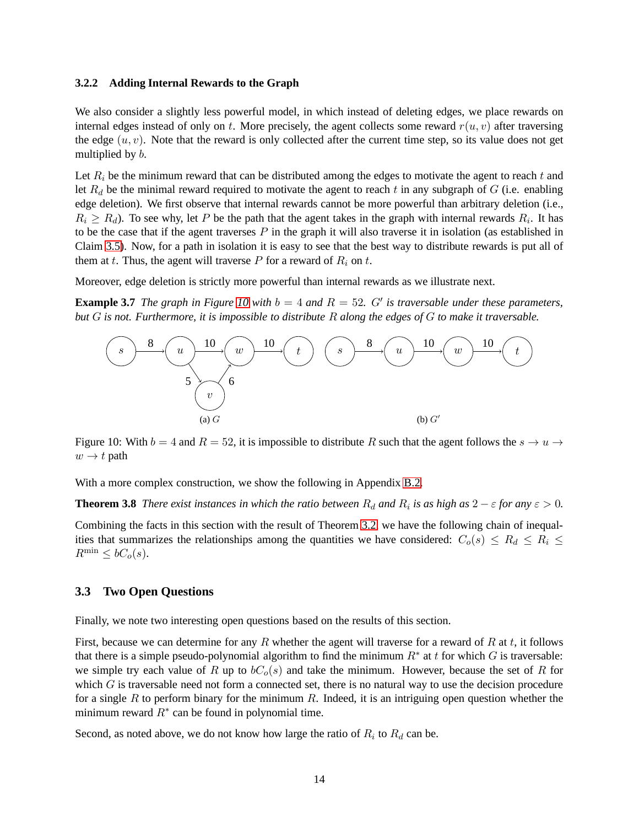#### **3.2.2 Adding Internal Rewards to the Graph**

We also consider a slightly less powerful model, in which instead of deleting edges, we place rewards on internal edges instead of only on t. More precisely, the agent collects some reward  $r(u, v)$  after traversing the edge  $(u, v)$ . Note that the reward is only collected after the current time step, so its value does not get multiplied by b.

Let  $R_i$  be the minimum reward that can be distributed among the edges to motivate the agent to reach t and let  $R_d$  be the minimal reward required to motivate the agent to reach t in any subgraph of G (i.e. enabling edge deletion). We first observe that internal rewards cannot be more powerful than arbitrary deletion (i.e.,  $R_i \geq R_d$ ). To see why, let P be the path that the agent takes in the graph with internal rewards  $R_i$ . It has to be the case that if the agent traverses  $P$  in the graph it will also traverse it in isolation (as established in Claim [3.5\)](#page-13-0). Now, for a path in isolation it is easy to see that the best way to distribute rewards is put all of them at t. Thus, the agent will traverse  $P$  for a reward of  $R_i$  on t.

Moreover, edge deletion is strictly more powerful than internal rewards as we illustrate next.

**Example 3.7** *The graph in Figure* [10](#page-14-0) *with*  $b = 4$  *and*  $R = 52$ *. G' is traversable under these parameters, but* G *is not. Furthermore, it is impossible to distribute* R *along the edges of* G *to make it traversable.*



<span id="page-14-0"></span>Figure 10: With  $b = 4$  and  $R = 52$ , it is impossible to distribute R such that the agent follows the  $s \to u \to u$  $w \rightarrow t$  path

With a more complex construction, we show the following in Appendix [B.2.](#page-23-0)

**Theorem 3.8** *There exist instances in which the ratio between*  $R_d$  *and*  $R_i$  *is as high as*  $2 - \varepsilon$  *for any*  $\varepsilon > 0$ *.* 

Combining the facts in this section with the result of Theorem [3.2,](#page-9-1) we have the following chain of inequalities that summarizes the relationships among the quantities we have considered:  $C_o(s) \leq R_d \leq R_i \leq$  $R^{\min} \leq bC_o(s)$ .

#### **3.3 Two Open Questions**

Finally, we note two interesting open questions based on the results of this section.

First, because we can determine for any R whether the agent will traverse for a reward of R at t, it follows that there is a simple pseudo-polynomial algorithm to find the minimum  $R^*$  at t for which G is traversable: we simple try each value of R up to  $bC<sub>o</sub>(s)$  and take the minimum. However, because the set of R for which  $G$  is traversable need not form a connected set, there is no natural way to use the decision procedure for a single R to perform binary for the minimum R. Indeed, it is an intriguing open question whether the minimum reward  $R^*$  can be found in polynomial time.

Second, as noted above, we do not know how large the ratio of  $R_i$  to  $R_d$  can be.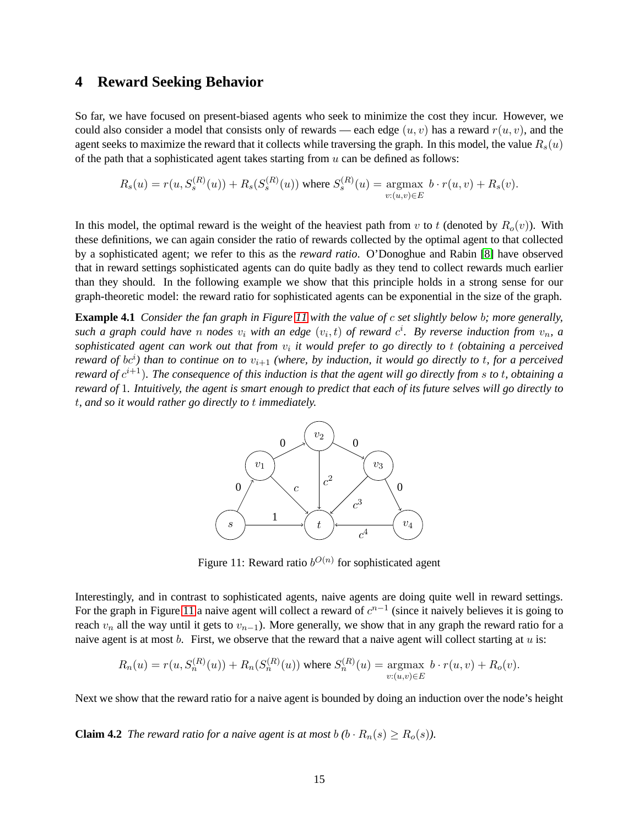# **4 Reward Seeking Behavior**

So far, we have focused on present-biased agents who seek to minimize the cost they incur. However, we could also consider a model that consists only of rewards — each edge  $(u, v)$  has a reward  $r(u, v)$ , and the agent seeks to maximize the reward that it collects while traversing the graph. In this model, the value  $R_s(u)$ of the path that a sophisticated agent takes starting from  $u$  can be defined as follows:

$$
R_s(u) = r(u, S_s^{(R)}(u)) + R_s(S_s^{(R)}(u))
$$
 where 
$$
S_s^{(R)}(u) = \underset{v:(u,v)\in E}{\text{argmax}} b \cdot r(u,v) + R_s(v).
$$

In this model, the optimal reward is the weight of the heaviest path from v to t (denoted by  $R<sub>o</sub>(v)$ ). With these definitions, we can again consider the ratio of rewards collected by the optimal agent to that collected by a sophisticated agent; we refer to this as the *reward ratio*. O'Donoghue and Rabin [\[8\]](#page-19-4) have observed that in reward settings sophisticated agents can do quite badly as they tend to collect rewards much earlier than they should. In the following example we show that this principle holds in a strong sense for our graph-theoretic model: the reward ratio for sophisticated agents can be exponential in the size of the graph.

**Example 4.1** *Consider the fan graph in Figure [11](#page-15-0) with the value of* c *set slightly below* b*; more generally,* such a graph could have n nodes  $v_i$  with an edge  $(v_i, t)$  of reward  $c^i$ . By reverse induction from  $v_n$ , a sophisticated agent can work out that from  $v_i$  it would prefer to go directly to t (obtaining a perceived *reward of bc*<sup>i</sup>) than to continue on to  $v_{i+1}$  (where, by induction, it would go directly to t, for a perceived *reward of*  $c^{i+1}$ ). The consequence of this induction is that the agent will go directly from s to t, obtaining a *reward of* 1*. Intuitively, the agent is smart enough to predict that each of its future selves will go directly to* t*, and so it would rather go directly to* t *immediately.*



<span id="page-15-0"></span>Figure 11: Reward ratio  $b^{O(n)}$  for sophisticated agent

Interestingly, and in contrast to sophisticated agents, naive agents are doing quite well in reward settings. For the graph in Figure [11](#page-15-0) a naive agent will collect a reward of  $c^{n-1}$  (since it naively believes it is going to reach  $v_n$  all the way until it gets to  $v_{n-1}$ ). More generally, we show that in any graph the reward ratio for a naive agent is at most  $b$ . First, we observe that the reward that a naive agent will collect starting at  $u$  is:

$$
R_n(u) = r(u, S_n^{(R)}(u)) + R_n(S_n^{(R)}(u))
$$
 where  $S_n^{(R)}(u) = \underset{v:(u,v)\in E}{\text{argmax}} b \cdot r(u,v) + R_o(v).$ 

Next we show that the reward ratio for a naive agent is bounded by doing an induction over the node's height

**Claim 4.2** *The reward ratio for a naive agent is at most*  $b$   $(b \cdot R_n(s) \ge R_o(s))$ *.*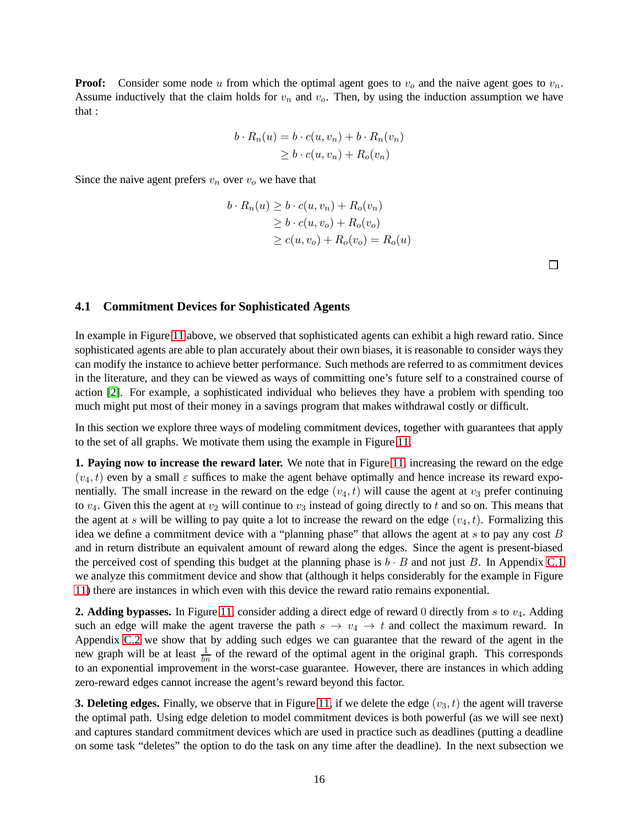**Proof:** Consider some node u from which the optimal agent goes to  $v<sub>o</sub>$  and the naive agent goes to  $v<sub>n</sub>$ . Assume inductively that the claim holds for  $v_n$  and  $v_o$ . Then, by using the induction assumption we have that :

$$
b \cdot R_n(u) = b \cdot c(u, v_n) + b \cdot R_n(v_n)
$$
  
\n
$$
\geq b \cdot c(u, v_n) + R_o(v_n)
$$

Since the naive agent prefers  $v_n$  over  $v_o$  we have that

$$
b \cdot R_n(u) \ge b \cdot c(u, v_n) + R_o(v_n)
$$
  
\n
$$
\ge b \cdot c(u, v_o) + R_o(v_o)
$$
  
\n
$$
\ge c(u, v_o) + R_o(v_o) = R_o(u)
$$

 $\Box$ 

#### <span id="page-16-0"></span>**4.1 Commitment Devices for Sophisticated Agents**

In example in Figure [11](#page-15-0) above, we observed that sophisticated agents can exhibit a high reward ratio. Since sophisticated agents are able to plan accurately about their own biases, it is reasonable to consider ways they can modify the instance to achieve better performance. Such methods are referred to as commitment devices in the literature, and they can be viewed as ways of committing one's future self to a constrained course of action [\[2\]](#page-18-2). For example, a sophisticated individual who believes they have a problem with spending too much might put most of their money in a savings program that makes withdrawal costly or difficult.

In this section we explore three ways of modeling commitment devices, together with guarantees that apply to the set of all graphs. We motivate them using the example in Figure [11.](#page-15-0)

**1. Paying now to increase the reward later.** We note that in Figure [11,](#page-15-0) increasing the reward on the edge  $(v_4, t)$  even by a small  $\varepsilon$  suffices to make the agent behave optimally and hence increase its reward exponentially. The small increase in the reward on the edge  $(v_4, t)$  will cause the agent at  $v_3$  prefer continuing to  $v_4$ . Given this the agent at  $v_2$  will continue to  $v_3$  instead of going directly to t and so on. This means that the agent at s will be willing to pay quite a lot to increase the reward on the edge  $(v_4, t)$ . Formalizing this idea we define a commitment device with a "planning phase" that allows the agent at  $s$  to pay any cost  $B$ and in return distribute an equivalent amount of reward along the edges. Since the agent is present-biased the perceived cost of spending this budget at the planning phase is  $b \cdot B$  and not just B. In Appendix [C.1](#page-26-0) we analyze this commitment device and show that (although it helps considerably for the example in Figure [11\)](#page-15-0) there are instances in which even with this device the reward ratio remains exponential.

**2. Adding bypasses.** In Figure [11,](#page-15-0) consider adding a direct edge of reward 0 directly from s to  $v_4$ . Adding such an edge will make the agent traverse the path  $s \to v_4 \to t$  and collect the maximum reward. In Appendix [C.2](#page-27-0) we show that by adding such edges we can guarantee that the reward of the agent in the new graph will be at least  $\frac{1}{bn}$  of the reward of the optimal agent in the original graph. This corresponds to an exponential improvement in the worst-case guarantee. However, there are instances in which adding zero-reward edges cannot increase the agent's reward beyond this factor.

**3. Deleting edges.** Finally, we observe that in Figure [11,](#page-15-0) if we delete the edge  $(v_3, t)$  the agent will traverse the optimal path. Using edge deletion to model commitment devices is both powerful (as we will see next) and captures standard commitment devices which are used in practice such as deadlines (putting a deadline on some task "deletes" the option to do the task on any time after the deadline). In the next subsection we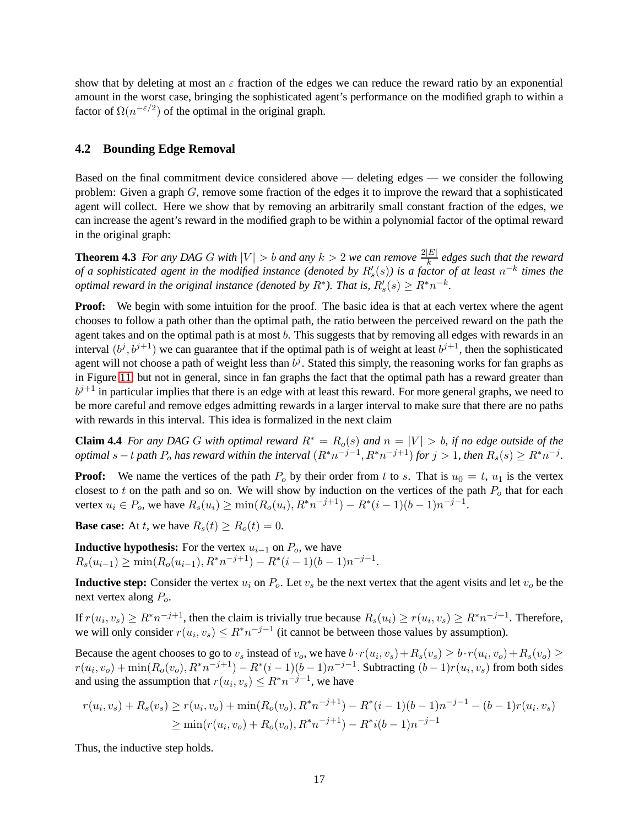show that by deleting at most an  $\varepsilon$  fraction of the edges we can reduce the reward ratio by an exponential amount in the worst case, bringing the sophisticated agent's performance on the modified graph to within a factor of  $\Omega(n^{-\epsilon/2})$  of the optimal in the original graph.

#### **4.2 Bounding Edge Removal**

Based on the final commitment device considered above — deleting edges — we consider the following problem: Given a graph  $G$ , remove some fraction of the edges it to improve the reward that a sophisticated agent will collect. Here we show that by removing an arbitrarily small constant fraction of the edges, we can increase the agent's reward in the modified graph to be within a polynomial factor of the optimal reward in the original graph:

<span id="page-17-1"></span>**Theorem 4.3** *For any DAG G with*  $|V| > b$  *and any*  $k > 2$  *we can remove*  $\frac{2|E|}{k}$  $\frac{|E|}{k}$  edges such that the reward *of a sophisticated agent in the modified instance (denoted by*  $R'_s(s)$ *) is a factor of at least*  $n^{-k}$  times the *optimal reward in the original instance (denoted by R<sup>\*</sup>). That is,*  $R'_{s}(s) \geq R^{*}n^{-k}$ *.* 

**Proof:** We begin with some intuition for the proof. The basic idea is that at each vertex where the agent chooses to follow a path other than the optimal path, the ratio between the perceived reward on the path the agent takes and on the optimal path is at most b. This suggests that by removing all edges with rewards in an interval  $(b^j, b^{j+1})$  we can guarantee that if the optimal path is of weight at least  $b^{j+1}$ , then the sophisticated agent will not choose a path of weight less than  $b^j$ . Stated this simply, the reasoning works for fan graphs as in Figure [11,](#page-15-0) but not in general, since in fan graphs the fact that the optimal path has a reward greater than  $b^{j+1}$  in particular implies that there is an edge with at least this reward. For more general graphs, we need to be more careful and remove edges admitting rewards in a larger interval to make sure that there are no paths with rewards in this interval. This idea is formalized in the next claim

<span id="page-17-0"></span>**Claim 4.4** *For any DAG* G *with optimal reward*  $R^* = R_o(s)$  *and*  $n = |V| > b$ *, if no edge outside of the optimal*  $s - t$  *path*  $P_o$  *has reward within the interval*  $(R^*n^{-j-1}, R^*n^{-j+1})$  *for*  $j > 1$ *, then*  $R_s(s) \geq R^*n^{-j}$ *.* 

**Proof:** We name the vertices of the path  $P_0$  by their order from t to s. That is  $u_0 = t$ ,  $u_1$  is the vertex closest to t on the path and so on. We will show by induction on the vertices of the path  $P<sub>o</sub>$  that for each vertex  $u_i \in P_o$ , we have  $R_s(u_i) \ge \min(R_o(u_i), R^*n^{-j+1}) - R^*(i-1)(b-1)n^{-j-1}$ .

**Base case:** At t, we have  $R_s(t) \ge R_o(t) = 0$ .

**Inductive hypothesis:** For the vertex  $u_{i-1}$  on  $P_o$ , we have  $R_s(u_{i-1}) \ge \min(R_o(u_{i-1}), R^*n^{-j+1}) - R^*(i-1)(b-1)n^{-j-1}.$ 

**Inductive step:** Consider the vertex  $u_i$  on  $P_o$ . Let  $v_s$  be the next vertex that the agent visits and let  $v_o$  be the next vertex along  $P_o$ .

If  $r(u_i, v_s) \ge R^* n^{-j+1}$ , then the claim is trivially true because  $R_s(u_i) \ge r(u_i, v_s) \ge R^* n^{-j+1}$ . Therefore, we will only consider  $r(u_i, v_s) \leq R^* n^{-j-1}$  (it cannot be between those values by assumption).

Because the agent chooses to go to  $v_s$  instead of  $v_o$ , we have  $b \cdot r(u_i, v_s) + R_s(v_s) \ge b \cdot r(u_i, v_o) + R_s(v_o) \ge$  $r(u_i, v_o) + \min(R_o(v_o), R^*n^{-j+1}) - R^*(i-1)(b-1)n^{-j-1}$ . Subtracting  $(b-1)r(u_i, v_s)$  from both sides and using the assumption that  $r(u_i, v_s) \leq R^* n^{-j-1}$ , we have

$$
r(u_i, v_s) + R_s(v_s) \ge r(u_i, v_o) + \min(R_o(v_o), R^* n^{-j+1}) - R^*(i-1)(b-1)n^{-j-1} - (b-1)r(u_i, v_s)
$$
  
\n
$$
\ge \min(r(u_i, v_o) + R_o(v_o), R^* n^{-j+1}) - R^*(b-1)n^{-j-1}
$$

Thus, the inductive step holds.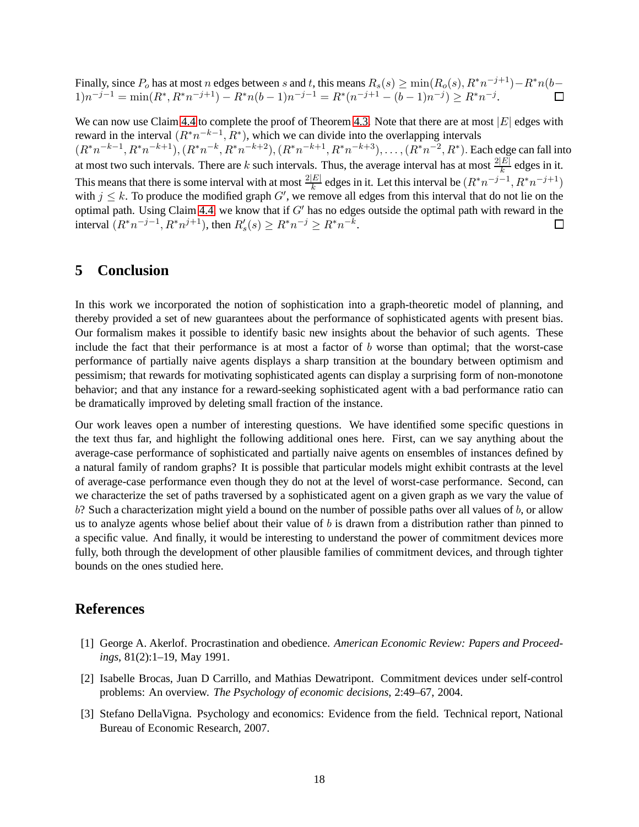Finally, since  $P_o$  has at most n edges between s and t, this means  $R_s(s) \ge \min(R_o(s), R^*n^{-j+1}) - R^*n(b-1)$  $1)n^{-j-1} = \min(R^*, R^*n^{-j+1}) - R^*n(b-1)n^{-j-1} = R^*(n^{-j+1} - (b-1)n^{-j}) \geq R^*n^{-j}.$  $\Box$ 

We can now use Claim [4.4](#page-17-0) to complete the proof of Theorem [4.3.](#page-17-1) Note that there are at most  $|E|$  edges with reward in the interval  $(R^*n^{-k-1}, R^*)$ , which we can divide into the overlapping intervals  $(R^*n^{-k-1}, R^*n^{-k+1}), (R^*n^{-k}, R^*n^{-k+2}), (R^*n^{-k+1}, R^*n^{-k+3}), \ldots, (R^*n^{-2}, R^*)$ . Each edge can fall into at most two such intervals. There are k such intervals. Thus, the average interval has at most  $\frac{2|E|}{k}$  edges in it. This means that there is some interval with at most  $\frac{2|E|}{k}$  edges in it. Let this interval be  $(R^*n^{-j-1}, R^*n^{-j+1})$ with  $j \leq k$ . To produce the modified graph G', we remove all edges from this interval that do not lie on the optimal path. Using Claim [4.4,](#page-17-0) we know that if  $G'$  has no edges outside the optimal path with reward in the interval  $(R^*n^{-j-1}, R^*n^{j+1})$ , then  $R'_s(s) \geq R^*n^{-j} \geq R^*n^{-k}$ .  $\Box$ 

### **5 Conclusion**

In this work we incorporated the notion of sophistication into a graph-theoretic model of planning, and thereby provided a set of new guarantees about the performance of sophisticated agents with present bias. Our formalism makes it possible to identify basic new insights about the behavior of such agents. These include the fact that their performance is at most a factor of b worse than optimal; that the worst-case performance of partially naive agents displays a sharp transition at the boundary between optimism and pessimism; that rewards for motivating sophisticated agents can display a surprising form of non-monotone behavior; and that any instance for a reward-seeking sophisticated agent with a bad performance ratio can be dramatically improved by deleting small fraction of the instance.

Our work leaves open a number of interesting questions. We have identified some specific questions in the text thus far, and highlight the following additional ones here. First, can we say anything about the average-case performance of sophisticated and partially naive agents on ensembles of instances defined by a natural family of random graphs? It is possible that particular models might exhibit contrasts at the level of average-case performance even though they do not at the level of worst-case performance. Second, can we characterize the set of paths traversed by a sophisticated agent on a given graph as we vary the value of b? Such a characterization might yield a bound on the number of possible paths over all values of b, or allow us to analyze agents whose belief about their value of  $b$  is drawn from a distribution rather than pinned to a specific value. And finally, it would be interesting to understand the power of commitment devices more fully, both through the development of other plausible families of commitment devices, and through tighter bounds on the ones studied here.

# <span id="page-18-0"></span>**References**

- <span id="page-18-2"></span>[1] George A. Akerlof. Procrastination and obedience. *American Economic Review: Papers and Proceedings*, 81(2):1–19, May 1991.
- <span id="page-18-1"></span>[2] Isabelle Brocas, Juan D Carrillo, and Mathias Dewatripont. Commitment devices under self-control problems: An overview. *The Psychology of economic decisions*, 2:49–67, 2004.
- [3] Stefano DellaVigna. Psychology and economics: Evidence from the field. Technical report, National Bureau of Economic Research, 2007.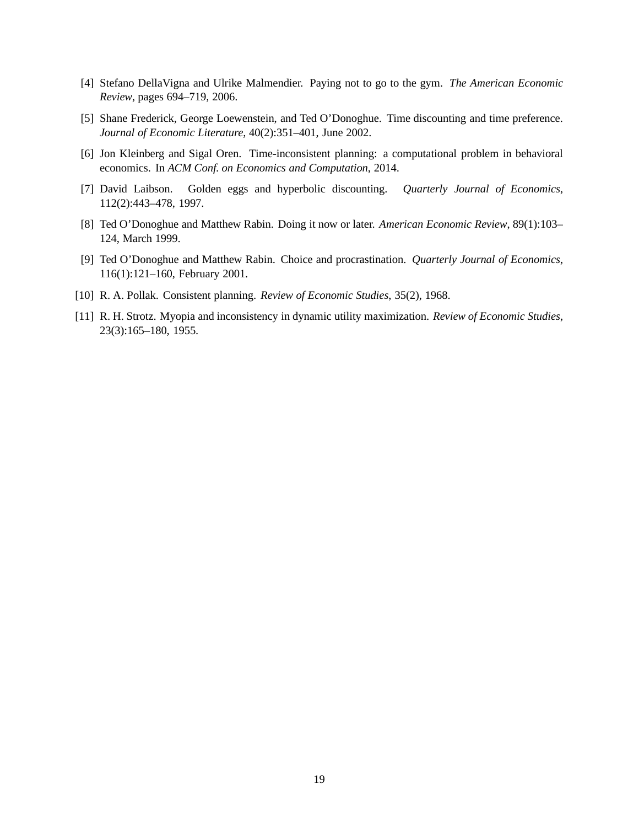- <span id="page-19-7"></span><span id="page-19-2"></span>[4] Stefano DellaVigna and Ulrike Malmendier. Paying not to go to the gym. *The American Economic Review*, pages 694–719, 2006.
- <span id="page-19-6"></span>[5] Shane Frederick, George Loewenstein, and Ted O'Donoghue. Time discounting and time preference. *Journal of Economic Literature*, 40(2):351–401, June 2002.
- <span id="page-19-3"></span>[6] Jon Kleinberg and Sigal Oren. Time-inconsistent planning: a computational problem in behavioral economics. In *ACM Conf. on Economics and Computation*, 2014.
- <span id="page-19-4"></span>[7] David Laibson. Golden eggs and hyperbolic discounting. *Quarterly Journal of Economics*, 112(2):443–478, 1997.
- <span id="page-19-5"></span>[8] Ted O'Donoghue and Matthew Rabin. Doing it now or later. *American Economic Review*, 89(1):103– 124, March 1999.
- <span id="page-19-0"></span>[9] Ted O'Donoghue and Matthew Rabin. Choice and procrastination. *Quarterly Journal of Economics*, 116(1):121–160, February 2001.
- <span id="page-19-1"></span>[10] R. A. Pollak. Consistent planning. *Review of Economic Studies*, 35(2), 1968.
- [11] R. H. Strotz. Myopia and inconsistency in dynamic utility maximization. *Review of Economic Studies*, 23(3):165–180, 1955.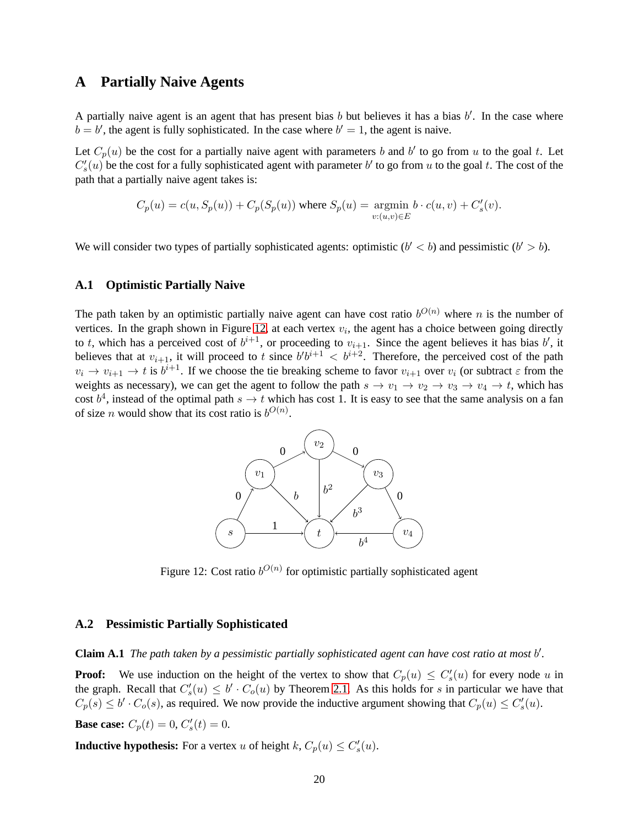### <span id="page-20-0"></span>**A Partially Naive Agents**

A partially naive agent is an agent that has present bias  $b$  but believes it has a bias  $b'$ . In the case where  $b = b'$ , the agent is fully sophisticated. In the case where  $b' = 1$ , the agent is naive.

Let  $C_p(u)$  be the cost for a partially naive agent with parameters b and b' to go from u to the goal t. Let  $C'_{s}(u)$  be the cost for a fully sophisticated agent with parameter b' to go from u to the goal t. The cost of the path that a partially naive agent takes is:

$$
C_p(u) = c(u, S_p(u)) + C_p(S_p(u))
$$
 where  $S_p(u) = \underset{v:(u,v) \in E}{\text{argmin}} b \cdot c(u, v) + C'_s(v)$ .

We will consider two types of partially sophisticated agents: optimistic  $(b' < b)$  and pessimistic  $(b' > b)$ .

#### **A.1 Optimistic Partially Naive**

The path taken by an optimistic partially naive agent can have cost ratio  $b^{O(n)}$  where n is the number of vertices. In the graph shown in Figure [12,](#page-20-1) at each vertex  $v_i$ , the agent has a choice between going directly to t, which has a perceived cost of  $b^{i+1}$ , or proceeding to  $v_{i+1}$ . Since the agent believes it has bias b', it believes that at  $v_{i+1}$ , it will proceed to t since  $b'b^{i+1} < b^{i+2}$ . Therefore, the perceived cost of the path  $v_i \to v_{i+1} \to t$  is  $b^{i+1}$ . If we choose the tie breaking scheme to favor  $v_{i+1}$  over  $v_i$  (or subtract  $\varepsilon$  from the weights as necessary), we can get the agent to follow the path  $s \to v_1 \to v_2 \to v_3 \to v_4 \to t$ , which has cost  $b^4$ , instead of the optimal path  $s \to t$  which has cost 1. It is easy to see that the same analysis on a fan of size *n* would show that its cost ratio is  $b^{O(n)}$ .



<span id="page-20-1"></span>Figure 12: Cost ratio  $b^{O(n)}$  for optimistic partially sophisticated agent

#### **A.2 Pessimistic Partially Sophisticated**

**Claim A.1** *The path taken by a pessimistic partially sophisticated agent can have cost ratio at most* b ′ *.*

**Proof:** We use induction on the height of the vertex to show that  $C_p(u) \leq C'_s(u)$  for every node u in the graph. Recall that  $C'_s(u) \leq b' \cdot C_o(u)$  by Theorem [2.1.](#page-7-1) As this holds for s in particular we have that  $C_p(s) \le b' \cdot C_o(s)$ , as required. We now provide the inductive argument showing that  $C_p(u) \le C'_s(u)$ . **Base case:**  $C_p(t) = 0, C'_s(t) = 0.$ 

**Inductive hypothesis:** For a vertex u of height  $k$ ,  $C_p(u) \leq C'_s(u)$ .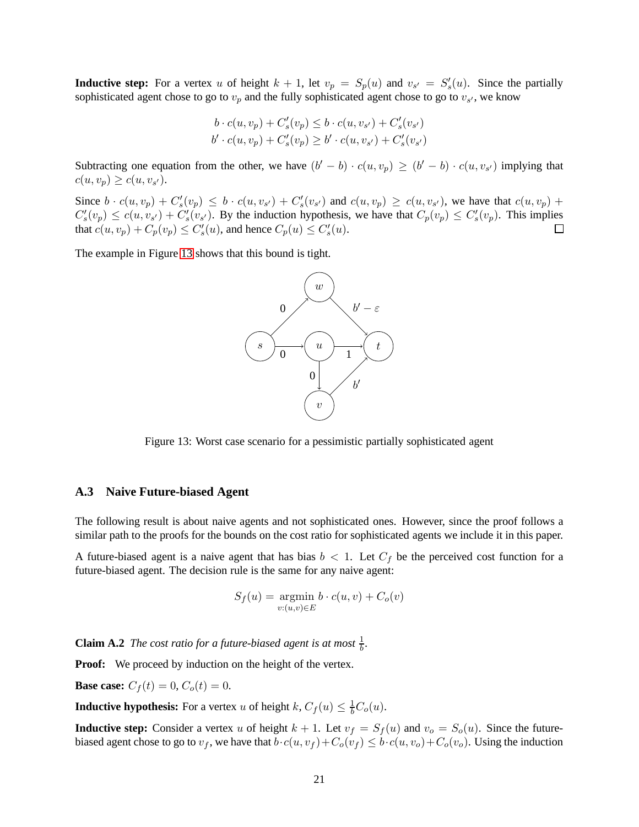**Inductive step:** For a vertex u of height  $k + 1$ , let  $v_p = S_p(u)$  and  $v_{s'} = S'_s(u)$ . Since the partially sophisticated agent chose to go to  $v_p$  and the fully sophisticated agent chose to go to  $v_{s'}$ , we know

$$
b \cdot c(u, v_p) + C'_s(v_p) \le b \cdot c(u, v_{s'}) + C'_s(v_{s'})
$$
  

$$
b' \cdot c(u, v_p) + C'_s(v_p) \ge b' \cdot c(u, v_{s'}) + C'_s(v_{s'})
$$

Subtracting one equation from the other, we have  $(b'-b) \cdot c(u,v_p) \ge (b'-b) \cdot c(u,v_{s'})$  implying that  $c(u, v_p) \geq c(u, v_{s}).$ 

Since  $b \cdot c(u, v_p) + C'_s(v_p) \leq b \cdot c(u, v_{s'}) + C'_s(v_{s'})$  and  $c(u, v_p) \geq c(u, v_{s'})$ , we have that  $c(u, v_p) + c'_s(v_p)$  $C'_s(v_p) \le c(u, v_{s'}) + C'_s(v_{s'})$ . By the induction hypothesis, we have that  $C_p(v_p) \le C'_s(v_p)$ . This implies that  $c(u, v_p) + C_p(v_p) \leq C'_s(u)$ , and hence  $C_p(u) \leq C'_s(u)$ .  $\Box$ 

The example in Figure [13](#page-21-0) shows that this bound is tight.



<span id="page-21-0"></span>Figure 13: Worst case scenario for a pessimistic partially sophisticated agent

#### **A.3 Naive Future-biased Agent**

The following result is about naive agents and not sophisticated ones. However, since the proof follows a similar path to the proofs for the bounds on the cost ratio for sophisticated agents we include it in this paper.

A future-biased agent is a naive agent that has bias  $b < 1$ . Let  $C_f$  be the perceived cost function for a future-biased agent. The decision rule is the same for any naive agent:

$$
S_f(u) = \underset{v:(u,v)\in E}{\text{argmin}} \, b \cdot c(u,v) + C_o(v)
$$

**Claim A.2** *The cost ratio for a future-biased agent is at most*  $\frac{1}{b}$ *.* 

**Proof:** We proceed by induction on the height of the vertex.

**Base case:**  $C_f(t) = 0$ ,  $C_o(t) = 0$ .

**Inductive hypothesis:** For a vertex u of height  $k$ ,  $C_f(u) \leq \frac{1}{b}C_o(u)$ .

**Inductive step:** Consider a vertex u of height  $k + 1$ . Let  $v_f = S_f(u)$  and  $v_o = S_o(u)$ . Since the futurebiased agent chose to go to  $v_f$ , we have that  $b \cdot c(u, v_f) + C_o(v_f) \leq b \cdot c(u, v_o) + C_o(v_o)$ . Using the induction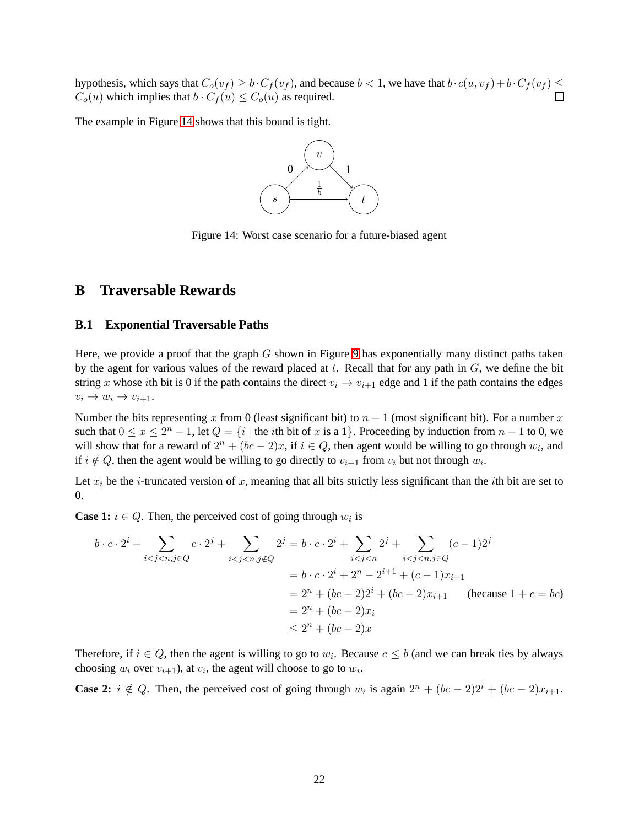hypothesis, which says that  $C_o(v_f) \ge b \cdot C_f(v_f)$ , and because  $b < 1$ , we have that  $b \cdot c(u, v_f) + b \cdot C_f(v_f) \le c(f)$  $C_o(u)$  which implies that  $b \cdot C_f(u) \leq C_o(u)$  as required.

The example in Figure [14](#page-22-1) shows that this bound is tight.



<span id="page-22-1"></span>Figure 14: Worst case scenario for a future-biased agent

### <span id="page-22-0"></span>**B Traversable Rewards**

#### **B.1 Exponential Traversable Paths**

Here, we provide a proof that the graph  $G$  shown in Figure [9](#page-12-2) has exponentially many distinct paths taken by the agent for various values of the reward placed at  $t$ . Recall that for any path in  $G$ , we define the bit string x whose ith bit is 0 if the path contains the direct  $v_i \rightarrow v_{i+1}$  edge and 1 if the path contains the edges  $v_i \rightarrow w_i \rightarrow v_{i+1}.$ 

Number the bits representing x from 0 (least significant bit) to  $n - 1$  (most significant bit). For a number x such that  $0 \le x \le 2^n - 1$ , let  $Q = \{i \mid \text{the } i\text{th bit of } x \text{ is a } 1\}$ . Proceeding by induction from  $n - 1$  to 0, we will show that for a reward of  $2^n + (bc - 2)x$ , if  $i \in Q$ , then agent would be willing to go through  $w_i$ , and if  $i \notin Q$ , then the agent would be willing to go directly to  $v_{i+1}$  from  $v_i$  but not through  $w_i$ .

Let  $x_i$  be the *i*-truncated version of x, meaning that all bits strictly less significant than the *i*th bit are set to 0.

**Case 1:**  $i \in Q$ . Then, the perceived cost of going through  $w_i$  is

$$
b \cdot c \cdot 2^{i} + \sum_{i < j < n, j \in Q} c \cdot 2^{j} + \sum_{i < j < n, j \notin Q} 2^{j} = b \cdot c \cdot 2^{i} + \sum_{i < j < n} 2^{j} + \sum_{i < j < n, j \in Q} (c - 1)2^{j}
$$
\n
$$
= b \cdot c \cdot 2^{i} + 2^{n} - 2^{i+1} + (c - 1)x_{i+1}
$$
\n
$$
= 2^{n} + (bc - 2)2^{i} + (bc - 2)x_{i+1} \quad \text{(because } 1 + c = bc)
$$
\n
$$
= 2^{n} + (bc - 2)x_{i}
$$
\n
$$
\leq 2^{n} + (bc - 2)x
$$

Therefore, if  $i \in Q$ , then the agent is willing to go to  $w_i$ . Because  $c \leq b$  (and we can break ties by always choosing  $w_i$  over  $v_{i+1}$ ), at  $v_i$ , the agent will choose to go to  $w_i$ .

**Case 2:**  $i \notin Q$ . Then, the perceived cost of going through  $w_i$  is again  $2^n + (bc - 2)2^i + (bc - 2)x_{i+1}$ .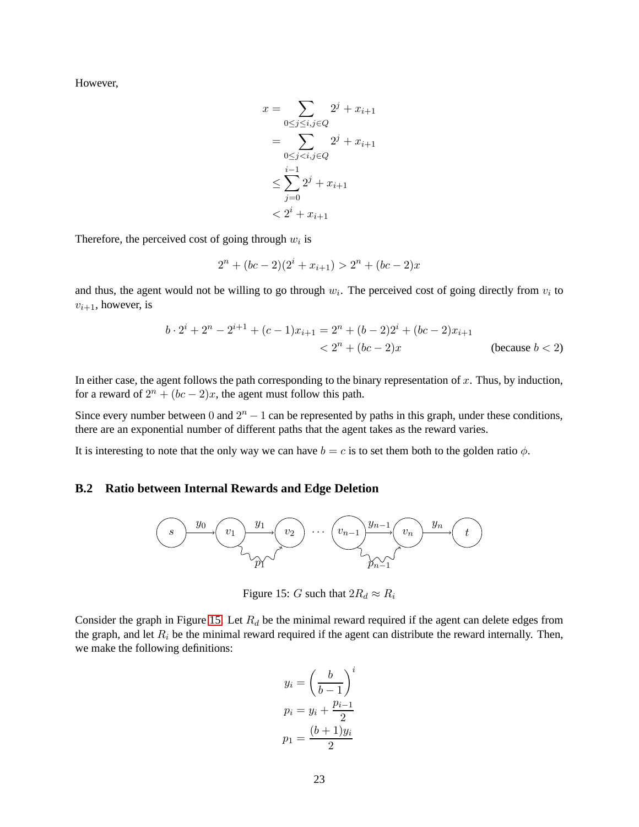However,

$$
x = \sum_{0 \le j \le i, j \in Q} 2^{j} + x_{i+1}
$$
  
= 
$$
\sum_{0 \le j < i, j \in Q} 2^{j} + x_{i+1}
$$
  

$$
\le \sum_{j=0}^{i-1} 2^{j} + x_{i+1}
$$
  

$$
< 2^{i} + x_{i+1}
$$

Therefore, the perceived cost of going through  $w_i$  is

$$
2^{n} + (bc - 2)(2^{i} + x_{i+1}) > 2^{n} + (bc - 2)x
$$

and thus, the agent would not be willing to go through  $w_i$ . The perceived cost of going directly from  $v_i$  to  $v_{i+1}$ , however, is

$$
b \cdot 2^{i} + 2^{n} - 2^{i+1} + (c-1)x_{i+1} = 2^{n} + (b-2)2^{i} + (bc-2)x_{i+1}
$$
  
< 
$$
< 2^{n} + (bc-2)x
$$
 (because  $b < 2$ )

In either case, the agent follows the path corresponding to the binary representation of  $x$ . Thus, by induction, for a reward of  $2^n + (bc - 2)x$ , the agent must follow this path.

Since every number between 0 and  $2<sup>n</sup> - 1$  can be represented by paths in this graph, under these conditions, there are an exponential number of different paths that the agent takes as the reward varies.

<span id="page-23-0"></span>It is interesting to note that the only way we can have  $b = c$  is to set them both to the golden ratio  $\phi$ .

### **B.2 Ratio between Internal Rewards and Edge Deletion**



<span id="page-23-1"></span>Figure 15: G such that  $2R_d \approx R_i$ 

Consider the graph in Figure [15.](#page-23-1) Let  $R_d$  be the minimal reward required if the agent can delete edges from the graph, and let  $R_i$  be the minimal reward required if the agent can distribute the reward internally. Then, we make the following definitions:

$$
y_i = \left(\frac{b}{b-1}\right)^i
$$

$$
p_i = y_i + \frac{p_{i-1}}{2}
$$

$$
p_1 = \frac{(b+1)y_i}{2}
$$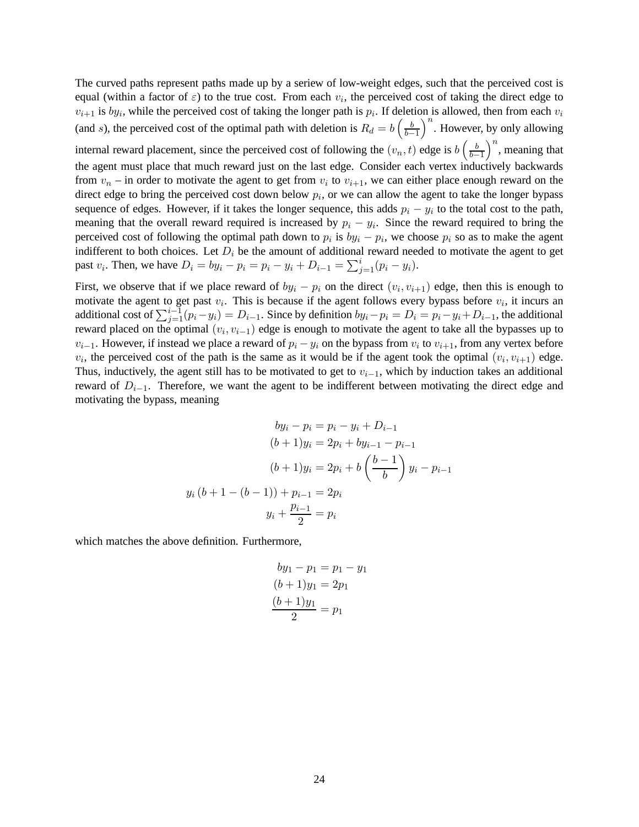The curved paths represent paths made up by a seriew of low-weight edges, such that the perceived cost is equal (within a factor of  $\varepsilon$ ) to the true cost. From each  $v_i$ , the perceived cost of taking the direct edge to  $v_{i+1}$  is  $by_i$ , while the perceived cost of taking the longer path is  $p_i$ . If deletion is allowed, then from each  $v_i$ (and s), the perceived cost of the optimal path with deletion is  $R_d = b \left( \frac{b}{b-1} \right)$  $\left(\frac{b}{b-1}\right)^n$ . However, by only allowing

internal reward placement, since the perceived cost of following the  $(v_n, t)$  edge is  $b \left( \frac{b}{b_n} \right)$  $\left(\frac{b}{b-1}\right)^n$ , meaning that the agent must place that much reward just on the last edge. Consider each vertex inductively backwards from  $v_n$  – in order to motivate the agent to get from  $v_i$  to  $v_{i+1}$ , we can either place enough reward on the direct edge to bring the perceived cost down below  $p_i$ , or we can allow the agent to take the longer bypass sequence of edges. However, if it takes the longer sequence, this adds  $p_i - y_i$  to the total cost to the path, meaning that the overall reward required is increased by  $p_i - y_i$ . Since the reward required to bring the perceived cost of following the optimal path down to  $p_i$  is  $by_i - p_i$ , we choose  $p_i$  so as to make the agent indifferent to both choices. Let  $D_i$  be the amount of additional reward needed to motivate the agent to get past  $v_i$ . Then, we have  $D_i = by_i - p_i = p_i - y_i + D_{i-1} = \sum_{j=1}^{i} (p_i - y_i)$ .

First, we observe that if we place reward of  $by_i - p_i$  on the direct  $(v_i, v_{i+1})$  edge, then this is enough to motivate the agent to get past  $v_i$ . This is because if the agent follows every bypass before  $v_i$ , it incurs an additional cost of  $\sum_{j=1}^{i-1}(p_i-y_i)=D_{i-1}$ . Since by definition  $by_i-p_i=D_i=p_i-y_i+D_{i-1}$ , the additional reward placed on the optimal  $(v_i, v_{i-1})$  edge is enough to motivate the agent to take all the bypasses up to  $v_{i-1}$ . However, if instead we place a reward of  $p_i - y_i$  on the bypass from  $v_i$  to  $v_{i+1}$ , from any vertex before  $v_i$ , the perceived cost of the path is the same as it would be if the agent took the optimal  $(v_i, v_{i+1})$  edge. Thus, inductively, the agent still has to be motivated to get to  $v_{i-1}$ , which by induction takes an additional reward of  $D_{i-1}$ . Therefore, we want the agent to be indifferent between motivating the direct edge and motivating the bypass, meaning

$$
by_{i} - p_{i} = p_{i} - y_{i} + D_{i-1}
$$

$$
(b+1)y_{i} = 2p_{i} + by_{i-1} - p_{i-1}
$$

$$
(b+1)y_{i} = 2p_{i} + b\left(\frac{b-1}{b}\right)y_{i} - p_{i-1}
$$

$$
y_{i}(b+1-(b-1)) + p_{i-1} = 2p_{i}
$$

$$
y_{i} + \frac{p_{i-1}}{2} = p_{i}
$$

which matches the above definition. Furthermore,

$$
by_1 - p_1 = p_1 - y_1
$$
  
(b + 1)y<sub>1</sub> = 2p<sub>1</sub>  

$$
\frac{(b+1)y_1}{2} = p_1
$$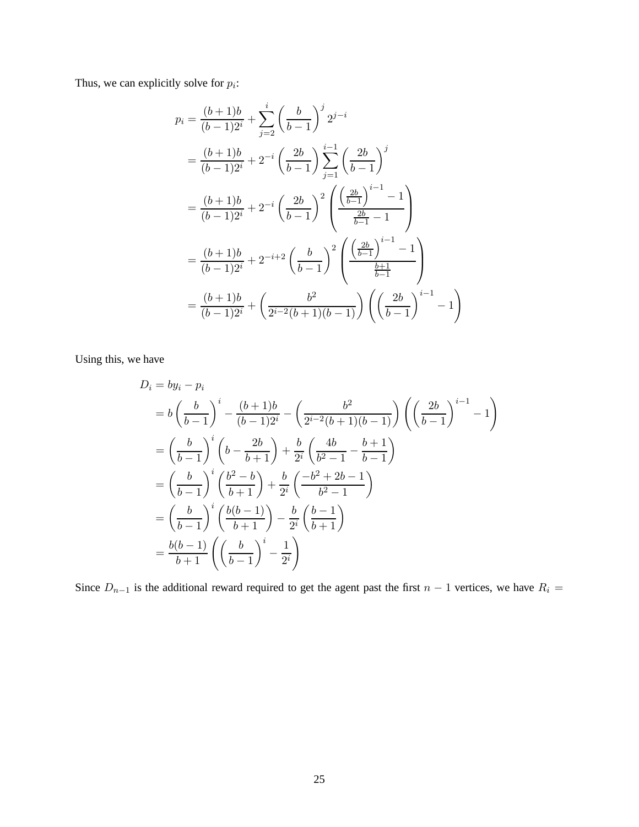Thus, we can explicitly solve for  $p_i$ :

$$
p_i = \frac{(b+1)b}{(b-1)2^i} + \sum_{j=2}^i \left(\frac{b}{b-1}\right)^j 2^{j-i}
$$
  
=  $\frac{(b+1)b}{(b-1)2^i} + 2^{-i} \left(\frac{2b}{b-1}\right) \sum_{j=1}^{i-1} \left(\frac{2b}{b-1}\right)^j$   
=  $\frac{(b+1)b}{(b-1)2^i} + 2^{-i} \left(\frac{2b}{b-1}\right)^2 \left(\frac{\left(\frac{2b}{b-1}\right)^{i-1} - 1}{\frac{2b}{b-1} - 1}\right)$   
=  $\frac{(b+1)b}{(b-1)2^i} + 2^{-i+2} \left(\frac{b}{b-1}\right)^2 \left(\frac{\left(\frac{2b}{b-1}\right)^{i-1} - 1}{\frac{b+1}{b-1}}\right)$   
=  $\frac{(b+1)b}{(b-1)2^i} + \left(\frac{b^2}{2^{i-2}(b+1)(b-1)}\right) \left(\left(\frac{2b}{b-1}\right)^{i-1} - 1\right)$ 

Using this, we have

$$
D_i = by_i - p_i
$$
  
=  $b \left(\frac{b}{b-1}\right)^i - \frac{(b+1)b}{(b-1)2^i} - \left(\frac{b^2}{2^{i-2}(b+1)(b-1)}\right) \left(\left(\frac{2b}{b-1}\right)^{i-1} - 1\right)$   
=  $\left(\frac{b}{b-1}\right)^i \left(b - \frac{2b}{b+1}\right) + \frac{b}{2^i} \left(\frac{4b}{b^2 - 1} - \frac{b+1}{b-1}\right)$   
=  $\left(\frac{b}{b-1}\right)^i \left(\frac{b^2 - b}{b+1}\right) + \frac{b}{2^i} \left(\frac{-b^2 + 2b - 1}{b^2 - 1}\right)$   
=  $\left(\frac{b}{b-1}\right)^i \left(\frac{b(b-1)}{b+1}\right) - \frac{b}{2^i} \left(\frac{b-1}{b+1}\right)$   
=  $\frac{b(b-1)}{b+1} \left(\left(\frac{b}{b-1}\right)^i - \frac{1}{2^i}\right)$ 

Since  $D_{n-1}$  is the additional reward required to get the agent past the first  $n-1$  vertices, we have  $R_i =$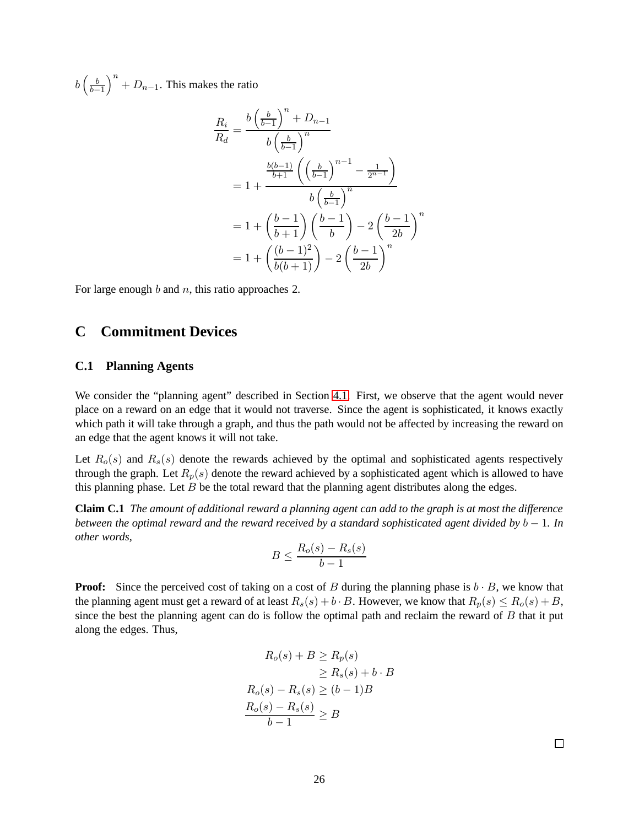$b\left(\frac{b}{b-}\right)$  $\left(\frac{b}{b-1}\right)^n + D_{n-1}$ . This makes the ratio

$$
\frac{R_i}{R_d} = \frac{b\left(\frac{b}{b-1}\right)^n + D_{n-1}}{b\left(\frac{b}{b-1}\right)^n} \\
= 1 + \frac{\frac{b(b-1)}{b+1}\left(\left(\frac{b}{b-1}\right)^{n-1} - \frac{1}{2^{n-1}}\right)}{b\left(\frac{b}{b-1}\right)^n} \\
= 1 + \left(\frac{b-1}{b+1}\right)\left(\frac{b-1}{b}\right) - 2\left(\frac{b-1}{2b}\right)^n \\
= 1 + \left(\frac{(b-1)^2}{b(b+1)}\right) - 2\left(\frac{b-1}{2b}\right)^n
$$

For large enough  $b$  and  $n$ , this ratio approaches 2.

### <span id="page-26-0"></span>**C Commitment Devices**

#### **C.1 Planning Agents**

We consider the "planning agent" described in Section [4.1.](#page-16-0) First, we observe that the agent would never place on a reward on an edge that it would not traverse. Since the agent is sophisticated, it knows exactly which path it will take through a graph, and thus the path would not be affected by increasing the reward on an edge that the agent knows it will not take.

Let  $R_o(s)$  and  $R_s(s)$  denote the rewards achieved by the optimal and sophisticated agents respectively through the graph. Let  $R_p(s)$  denote the reward achieved by a sophisticated agent which is allowed to have this planning phase. Let  $B$  be the total reward that the planning agent distributes along the edges.

**Claim C.1** *The amount of additional reward a planning agent can add to the graph is at most the difference between the optimal reward and the reward received by a standard sophisticated agent divided by b − 1. In other words,*

$$
B \le \frac{R_o(s) - R_s(s)}{b - 1}
$$

**Proof:** Since the perceived cost of taking on a cost of B during the planning phase is  $b \cdot B$ , we know that the planning agent must get a reward of at least  $R_s(s) + b \cdot B$ . However, we know that  $R_p(s) \leq R_o(s) + B$ , since the best the planning agent can do is follow the optimal path and reclaim the reward of  $B$  that it put along the edges. Thus,

$$
R_o(s) + B \ge R_p(s)
$$
  
\n
$$
\ge R_s(s) + b \cdot B
$$
  
\n
$$
R_o(s) - R_s(s) \ge (b - 1)B
$$
  
\n
$$
\frac{R_o(s) - R_s(s)}{b - 1} \ge B
$$

 $\Box$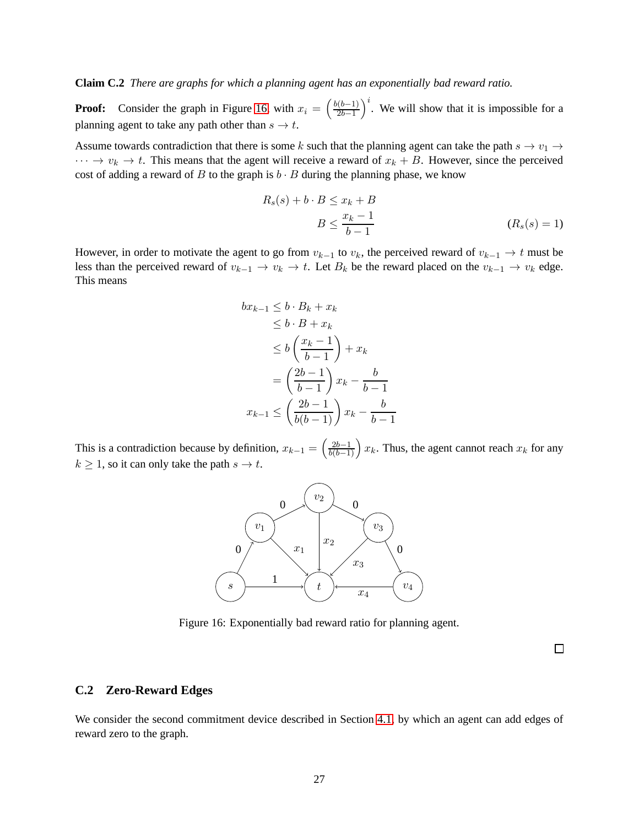**Claim C.2** *There are graphs for which a planning agent has an exponentially bad reward ratio.*

**Proof:** Consider the graph in Figure [16,](#page-27-1) with  $x_i = \left(\frac{b(b-1)}{2b-1}\right)$  $\left(\frac{2b-1}{2b-1}\right)^i$ . We will show that it is impossible for a planning agent to take any path other than  $s \to t$ .

Assume towards contradiction that there is some k such that the planning agent can take the path  $s \to v_1 \to$  $\cdots \rightarrow v_k \rightarrow t$ . This means that the agent will receive a reward of  $x_k + B$ . However, since the perceived cost of adding a reward of B to the graph is  $b \cdot B$  during the planning phase, we know

$$
R_s(s) + b \cdot B \le x_k + B
$$
  

$$
B \le \frac{x_k - 1}{b - 1}
$$
 (R<sub>s</sub>(s) = 1)

However, in order to motivate the agent to go from  $v_{k-1}$  to  $v_k$ , the perceived reward of  $v_{k-1} \to t$  must be less than the perceived reward of  $v_{k-1} \to v_k \to t$ . Let  $B_k$  be the reward placed on the  $v_{k-1} \to v_k$  edge. This means

$$
bx_{k-1} \leq b \cdot B_k + x_k
$$
  
\n
$$
\leq b \cdot B + x_k
$$
  
\n
$$
\leq b \left(\frac{x_k - 1}{b - 1}\right) + x_k
$$
  
\n
$$
= \left(\frac{2b - 1}{b - 1}\right) x_k - \frac{b}{b - 1}
$$
  
\n
$$
x_{k-1} \leq \left(\frac{2b - 1}{b(b - 1)}\right) x_k - \frac{b}{b - 1}
$$

This is a contradiction because by definition,  $x_{k-1} = \left(\frac{2b-1}{b(b-1)}\right)x_k$ . Thus, the agent cannot reach  $x_k$  for any  $k \geq 1$ , so it can only take the path  $s \to t$ .



<span id="page-27-1"></span>Figure 16: Exponentially bad reward ratio for planning agent.

 $\Box$ 

### <span id="page-27-0"></span>**C.2 Zero-Reward Edges**

We consider the second commitment device described in Section [4.1,](#page-16-0) by which an agent can add edges of reward zero to the graph.